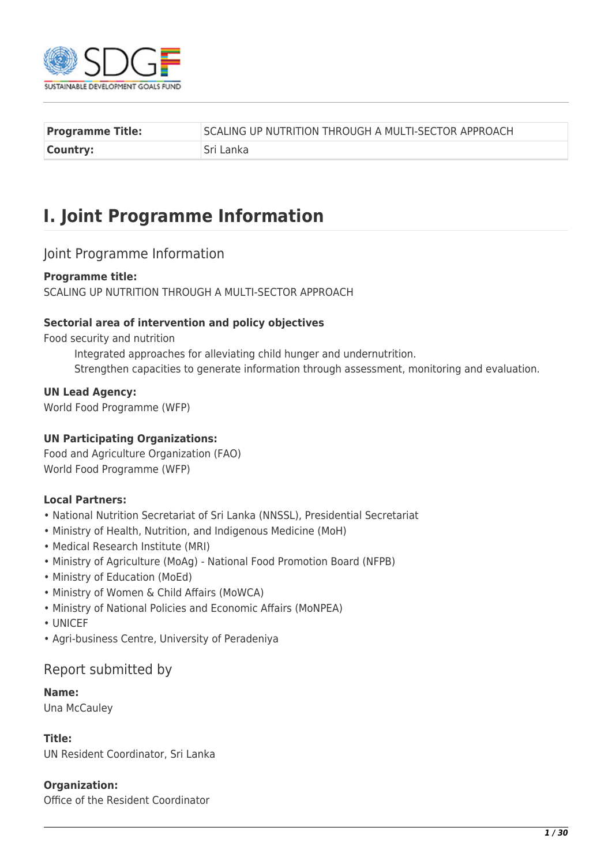

| <b>Programme Title:</b> | SCALING UP NUTRITION THROUGH A MULTI-SECTOR APPROACH |
|-------------------------|------------------------------------------------------|
| Country:                | Sri Lanka                                            |

# **I. Joint Programme Information**

## Joint Programme Information

### **Programme title:**

SCALING UP NUTRITION THROUGH A MULTI-SECTOR APPROACH

### **Sectorial area of intervention and policy objectives**

Food security and nutrition

Integrated approaches for alleviating child hunger and undernutrition. Strengthen capacities to generate information through assessment, monitoring and evaluation.

#### **UN Lead Agency:**

World Food Programme (WFP)

#### **UN Participating Organizations:**

Food and Agriculture Organization (FAO) World Food Programme (WFP)

### **Local Partners:**

- National Nutrition Secretariat of Sri Lanka (NNSSL), Presidential Secretariat
- Ministry of Health, Nutrition, and Indigenous Medicine (MoH)
- Medical Research Institute (MRI)
- Ministry of Agriculture (MoAg) National Food Promotion Board (NFPB)
- Ministry of Education (MoEd)
- Ministry of Women & Child Affairs (MoWCA)
- Ministry of National Policies and Economic Affairs (MoNPEA)
- UNICEF
- Agri-business Centre, University of Peradeniya

## Report submitted by

#### **Name:**

Una McCauley

#### **Title:**

UN Resident Coordinator, Sri Lanka

#### **Organization:**

Office of the Resident Coordinator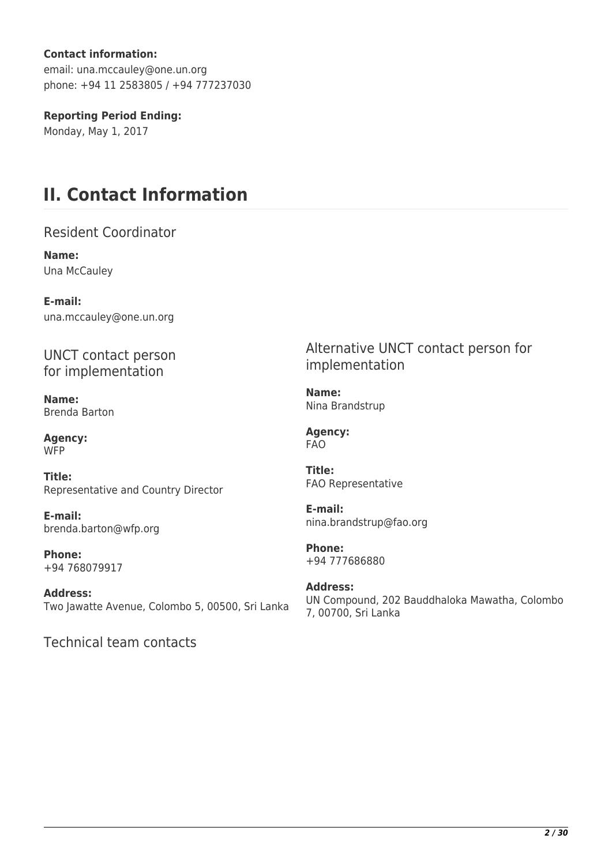## **Contact information:**

email: una.mccauley@one.un.org phone: +94 11 2583805 / +94 777237030

## **Reporting Period Ending:**

Monday, May 1, 2017

# **II. Contact Information**

Resident Coordinator

**Name:**  Una McCauley

**E-mail:**  una.mccauley@one.un.org

UNCT contact person for implementation

**Name:**  Brenda Barton

**Agency: WFP** 

**Title:**  Representative and Country Director

**E-mail:**  brenda.barton@wfp.org

**Phone:**  +94 768079917

**Address:**  Two Jawatte Avenue, Colombo 5, 00500, Sri Lanka

Technical team contacts

Alternative UNCT contact person for implementation

**Name:**  Nina Brandstrup

**Agency:**  FAO

**Title:**  FAO Representative

**E-mail:**  nina.brandstrup@fao.org

**Phone:**  +94 777686880

**Address:**  UN Compound, 202 Bauddhaloka Mawatha, Colombo 7, 00700, Sri Lanka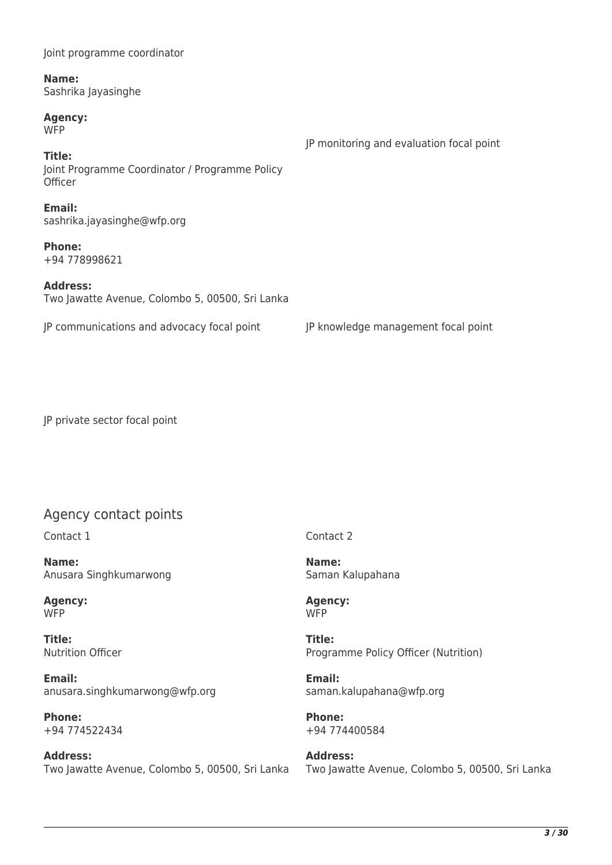| Name:<br>Sashrika Jayasinghe                                        |                                          |
|---------------------------------------------------------------------|------------------------------------------|
| <b>Agency:</b><br><b>WFP</b>                                        | JP monitoring and evaluation focal point |
| Title:<br>Joint Programme Coordinator / Programme Policy<br>Officer |                                          |
| Email:<br>sashrika.jayasinghe@wfp.org                               |                                          |
| <b>Phone:</b><br>+94 778998621                                      |                                          |
| <b>Address:</b><br>Two Jawatte Avenue, Colombo 5, 00500, Sri Lanka  |                                          |
| JP communications and advocacy focal point                          | JP knowledge management focal point      |

JP private sector focal point

Joint programme coordinator

## Agency contact points

Contact 1

**Name:**  Anusara Singhkumarwong

**Agency:**  W<sub>FP</sub>

**Title:**  Nutrition Officer

**Email:**  anusara.singhkumarwong@wfp.org

**Phone:**  +94 774522434

**Address:**  Two Jawatte Avenue, Colombo 5, 00500, Sri Lanka Contact 2

**Name:**  Saman Kalupahana

**Agency: WFP** 

**Title:**  Programme Policy Officer (Nutrition)

**Email:**  saman.kalupahana@wfp.org

**Phone:**  +94 774400584

**Address:**  Two Jawatte Avenue, Colombo 5, 00500, Sri Lanka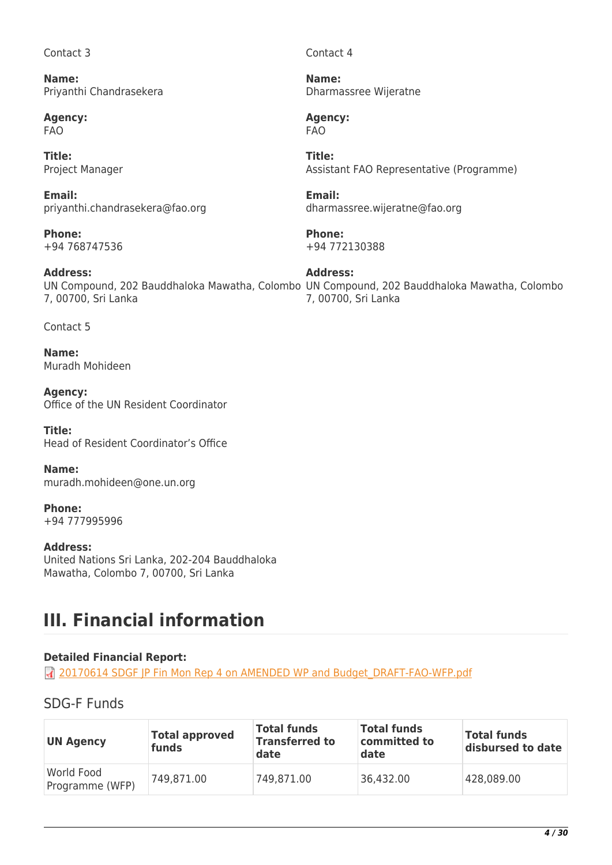### Contact 3

**Name:**  Priyanthi Chandrasekera

**Agency:**  FAO

**Title:**  Project Manager

**Email:**  priyanthi.chandrasekera@fao.org

**Phone:**  +94 768747536

**Address:**  7, 00700, Sri Lanka

Contact 5

**Name:**  Muradh Mohideen

**Agency:**  Office of the UN Resident Coordinator

**Title:**  Head of Resident Coordinator's Office

**Name:**  muradh.mohideen@one.un.org

**Phone:**  +94 777995996

## **Address:**

United Nations Sri Lanka, 202-204 Bauddhaloka Mawatha, Colombo 7, 00700, Sri Lanka

## **III. Financial information**

## **Detailed Financial Report:**

**7** [20170614 SDGF JP Fin Mon Rep 4 on AMENDED WP and Budget\\_DRAFT-FAO-WFP.pdf](http://proposals.sdgfund.org/system/files/report-attachments/20170614%20SDGF%20JP%20Fin%20Mon%20Rep%204%20on%20AMENDED%20WP%20and%20Budget_DRAFT-FAO-WFP.pdf)

## SDG-F Funds

| <b>UN Agency</b>              | <b>Total approved</b><br>funds | Total funds<br><b>Transferred to</b><br>date | <b>Total funds</b><br>committed to<br>date | <b>Total funds</b><br>disbursed to date |
|-------------------------------|--------------------------------|----------------------------------------------|--------------------------------------------|-----------------------------------------|
| World Food<br>Programme (WFP) | 749.871.00                     | 749,871.00                                   | 36,432.00                                  | 428,089.00                              |

Contact 4

**Name:**  Dharmassree Wijeratne

**Agency:**  FAO

**Title:**  Assistant FAO Representative (Programme)

**Email:**  dharmassree.wijeratne@fao.org

**Phone:**  +94 772130388

UN Compound, 202 Bauddhaloka Mawatha, Colombo UN Compound, 202 Bauddhaloka Mawatha, Colombo **Address:**  7, 00700, Sri Lanka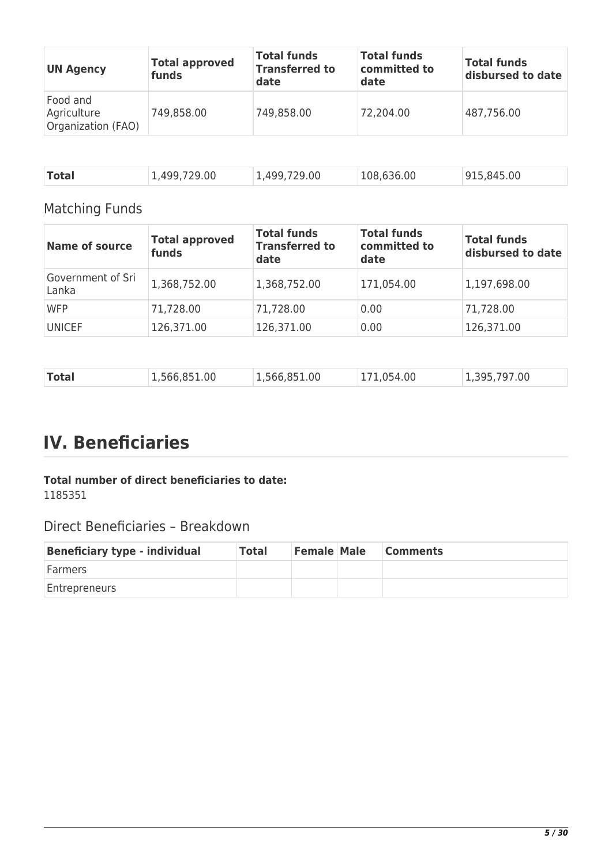| <b>UN Agency</b>                              | <b>Total approved</b><br>funds | <b>Total funds</b><br><b>Transferred to</b><br>date | <b>Total funds</b><br>committed to<br>date | <b>Total funds</b><br>disbursed to date |
|-----------------------------------------------|--------------------------------|-----------------------------------------------------|--------------------------------------------|-----------------------------------------|
| Food and<br>Agriculture<br>Organization (FAO) | 749,858.00                     | 749,858.00                                          | 72,204.00                                  | 487,756.00                              |
|                                               |                                |                                                     |                                            |                                         |

| Total<br>1,499,729.00 | 1,499,729.00 | 108,636.00 | 915,845.00 |
|-----------------------|--------------|------------|------------|
|-----------------------|--------------|------------|------------|

## Matching Funds

| <b>Name of source</b>      | <b>Total approved</b><br>funds | <b>Total funds</b><br><b>Transferred to</b><br>date | <b>Total funds</b><br>committed to<br>date | <b>Total funds</b><br>disbursed to date |
|----------------------------|--------------------------------|-----------------------------------------------------|--------------------------------------------|-----------------------------------------|
| Government of Sri<br>Lanka | 1,368,752.00                   | 1,368,752.00                                        | 171,054.00                                 | 1,197,698.00                            |
| <b>WFP</b>                 | 71,728.00                      | 71,728.00                                           | 0.00                                       | 71,728.00                               |
| <b>UNICEF</b>              | 126,371.00                     | 126,371.00                                          | 0.00                                       | 126,371.00                              |

|--|

## **IV. Beneficiaries**

## **Total number of direct beneficiaries to date:**  1185351

## Direct Beneficiaries – Breakdown

| <b>Beneficiary type - individual</b> | <b>Total</b> | <b>Female Male</b> | <b>Comments</b> |
|--------------------------------------|--------------|--------------------|-----------------|
| <b>Farmers</b>                       |              |                    |                 |
| <b>Entrepreneurs</b>                 |              |                    |                 |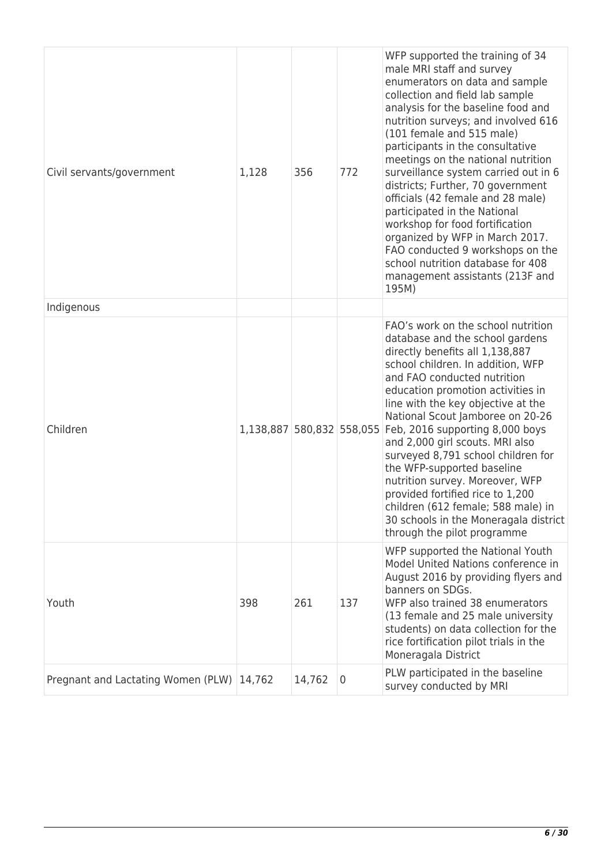| Civil servants/government                 | 1,128                     | 356    | 772 | WFP supported the training of 34<br>male MRI staff and survey<br>enumerators on data and sample<br>collection and field lab sample<br>analysis for the baseline food and<br>nutrition surveys; and involved 616<br>(101 female and 515 male)<br>participants in the consultative<br>meetings on the national nutrition<br>surveillance system carried out in 6<br>districts; Further, 70 government<br>officials (42 female and 28 male)<br>participated in the National<br>workshop for food fortification<br>organized by WFP in March 2017.<br>FAO conducted 9 workshops on the<br>school nutrition database for 408<br>management assistants (213F and<br>195M) |
|-------------------------------------------|---------------------------|--------|-----|---------------------------------------------------------------------------------------------------------------------------------------------------------------------------------------------------------------------------------------------------------------------------------------------------------------------------------------------------------------------------------------------------------------------------------------------------------------------------------------------------------------------------------------------------------------------------------------------------------------------------------------------------------------------|
| Indigenous                                |                           |        |     |                                                                                                                                                                                                                                                                                                                                                                                                                                                                                                                                                                                                                                                                     |
| Children                                  | 1,138,887 580,832 558,055 |        |     | FAO's work on the school nutrition<br>database and the school gardens<br>directly benefits all 1,138,887<br>school children. In addition, WFP<br>and FAO conducted nutrition<br>education promotion activities in<br>line with the key objective at the<br>National Scout Jamboree on 20-26<br>Feb, 2016 supporting 8,000 boys<br>and 2,000 girl scouts. MRI also<br>surveyed 8,791 school children for<br>the WFP-supported baseline<br>nutrition survey. Moreover, WFP<br>provided fortified rice to 1,200<br>children (612 female; 588 male) in<br>30 schools in the Moneragala district<br>through the pilot programme                                          |
| Youth                                     | 398                       | 261    | 137 | WFP supported the National Youth<br>Model United Nations conference in<br>August 2016 by providing flyers and<br>banners on SDGs.<br>WFP also trained 38 enumerators<br>(13 female and 25 male university<br>students) on data collection for the<br>rice fortification pilot trials in the<br>Moneragala District                                                                                                                                                                                                                                                                                                                                                  |
| Pregnant and Lactating Women (PLW) 14,762 |                           | 14,762 | 0   | PLW participated in the baseline<br>survey conducted by MRI                                                                                                                                                                                                                                                                                                                                                                                                                                                                                                                                                                                                         |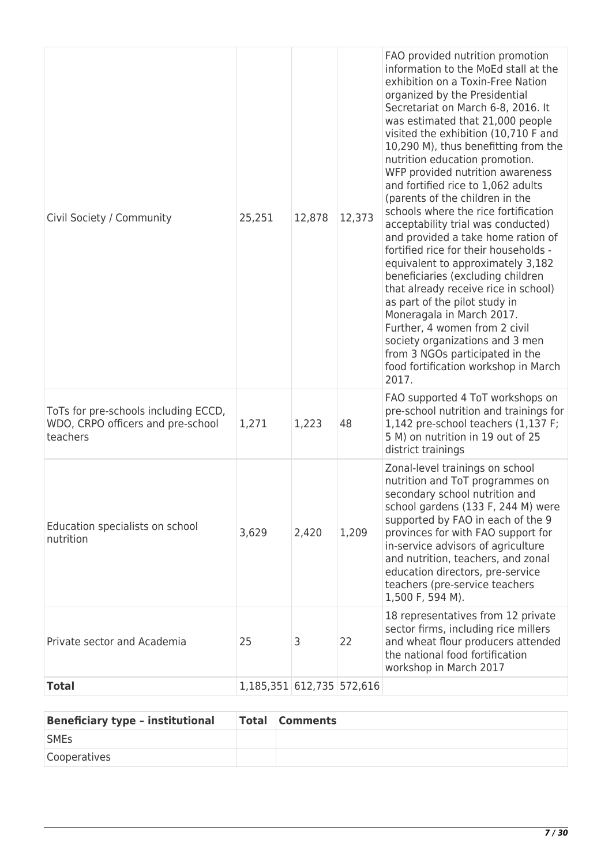| Civil Society / Community                                                             | 25,251                    | 12,878 | 12,373 | FAO provided nutrition promotion<br>information to the MoEd stall at the<br>exhibition on a Toxin-Free Nation<br>organized by the Presidential<br>Secretariat on March 6-8, 2016. It<br>was estimated that 21,000 people<br>visited the exhibition (10,710 F and<br>10,290 M), thus benefitting from the<br>nutrition education promotion.<br>WFP provided nutrition awareness<br>and fortified rice to 1,062 adults<br>(parents of the children in the<br>schools where the rice fortification<br>acceptability trial was conducted)<br>and provided a take home ration of<br>fortified rice for their households -<br>equivalent to approximately 3,182<br>beneficiaries (excluding children<br>that already receive rice in school)<br>as part of the pilot study in<br>Moneragala in March 2017.<br>Further, 4 women from 2 civil<br>society organizations and 3 men<br>from 3 NGOs participated in the<br>food fortification workshop in March<br>2017. |
|---------------------------------------------------------------------------------------|---------------------------|--------|--------|--------------------------------------------------------------------------------------------------------------------------------------------------------------------------------------------------------------------------------------------------------------------------------------------------------------------------------------------------------------------------------------------------------------------------------------------------------------------------------------------------------------------------------------------------------------------------------------------------------------------------------------------------------------------------------------------------------------------------------------------------------------------------------------------------------------------------------------------------------------------------------------------------------------------------------------------------------------|
| ToTs for pre-schools including ECCD,<br>WDO, CRPO officers and pre-school<br>teachers | 1,271                     | 1,223  | 48     | FAO supported 4 ToT workshops on<br>pre-school nutrition and trainings for<br>1,142 pre-school teachers (1,137 F;<br>5 M) on nutrition in 19 out of 25<br>district trainings                                                                                                                                                                                                                                                                                                                                                                                                                                                                                                                                                                                                                                                                                                                                                                                 |
| Education specialists on school<br>nutrition                                          | 3,629                     | 2,420  | 1,209  | Zonal-level trainings on school<br>nutrition and ToT programmes on<br>secondary school nutrition and<br>school gardens (133 F, 244 M) were<br>supported by FAO in each of the 9<br>provinces for with FAO support for<br>in-service advisors of agriculture<br>and nutrition, teachers, and zonal<br>education directors, pre-service<br>teachers (pre-service teachers<br>1,500 F, 594 M).                                                                                                                                                                                                                                                                                                                                                                                                                                                                                                                                                                  |
| Private sector and Academia                                                           | 25                        | З      | 22     | 18 representatives from 12 private<br>sector firms, including rice millers<br>and wheat flour producers attended<br>the national food fortification<br>workshop in March 2017                                                                                                                                                                                                                                                                                                                                                                                                                                                                                                                                                                                                                                                                                                                                                                                |
| <b>Total</b>                                                                          | 1,185,351 612,735 572,616 |        |        |                                                                                                                                                                                                                                                                                                                                                                                                                                                                                                                                                                                                                                                                                                                                                                                                                                                                                                                                                              |

| <b>Beneficiary type - institutional</b> | <b>Total Comments</b> |
|-----------------------------------------|-----------------------|
| <b>SMEs</b>                             |                       |
| Cooperatives                            |                       |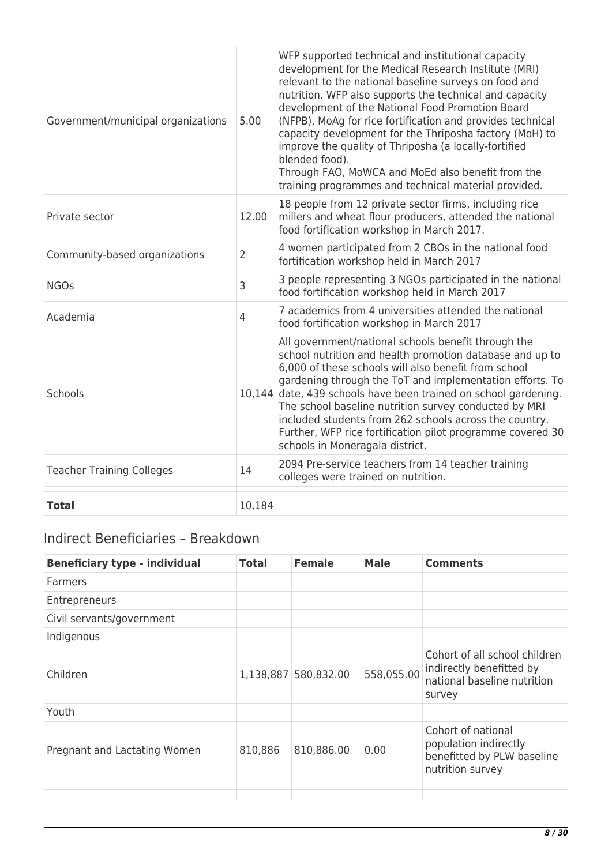| Government/municipal organizations | 5.00           | WFP supported technical and institutional capacity<br>development for the Medical Research Institute (MRI)<br>relevant to the national baseline surveys on food and<br>nutrition. WFP also supports the technical and capacity<br>development of the National Food Promotion Board<br>(NFPB), MoAg for rice fortification and provides technical<br>capacity development for the Thriposha factory (MoH) to<br>improve the quality of Thriposha (a locally-fortified<br>blended food).<br>Through FAO, MoWCA and MoEd also benefit from the<br>training programmes and technical material provided. |
|------------------------------------|----------------|-----------------------------------------------------------------------------------------------------------------------------------------------------------------------------------------------------------------------------------------------------------------------------------------------------------------------------------------------------------------------------------------------------------------------------------------------------------------------------------------------------------------------------------------------------------------------------------------------------|
| Private sector                     | 12.00          | 18 people from 12 private sector firms, including rice<br>millers and wheat flour producers, attended the national<br>food fortification workshop in March 2017.                                                                                                                                                                                                                                                                                                                                                                                                                                    |
| Community-based organizations      | $\overline{2}$ | 4 women participated from 2 CBOs in the national food<br>fortification workshop held in March 2017                                                                                                                                                                                                                                                                                                                                                                                                                                                                                                  |
| <b>NGOs</b>                        | 3              | 3 people representing 3 NGOs participated in the national<br>food fortification workshop held in March 2017                                                                                                                                                                                                                                                                                                                                                                                                                                                                                         |
| Academia                           | $\overline{4}$ | 7 academics from 4 universities attended the national<br>food fortification workshop in March 2017                                                                                                                                                                                                                                                                                                                                                                                                                                                                                                  |
| Schools                            | 10,144         | All government/national schools benefit through the<br>school nutrition and health promotion database and up to<br>6,000 of these schools will also benefit from school<br>gardening through the ToT and implementation efforts. To<br>date, 439 schools have been trained on school gardening.<br>The school baseline nutrition survey conducted by MRI<br>included students from 262 schools across the country.<br>Further, WFP rice fortification pilot programme covered 30<br>schools in Moneragala district.                                                                                 |
| <b>Teacher Training Colleges</b>   | 14             | 2094 Pre-service teachers from 14 teacher training<br>colleges were trained on nutrition.                                                                                                                                                                                                                                                                                                                                                                                                                                                                                                           |
| <b>Total</b>                       | 10,184         |                                                                                                                                                                                                                                                                                                                                                                                                                                                                                                                                                                                                     |

## Indirect Beneficiaries – Breakdown

| <b>Beneficiary type - individual</b> | <b>Total</b> | <b>Female</b>        | <b>Male</b> | <b>Comments</b>                                                                                    |
|--------------------------------------|--------------|----------------------|-------------|----------------------------------------------------------------------------------------------------|
| <b>Farmers</b>                       |              |                      |             |                                                                                                    |
| Entrepreneurs                        |              |                      |             |                                                                                                    |
| Civil servants/government            |              |                      |             |                                                                                                    |
| Indigenous                           |              |                      |             |                                                                                                    |
| Children                             |              | 1,138,887 580,832.00 | 558,055.00  | Cohort of all school children<br>indirectly benefitted by<br>national baseline nutrition<br>survey |
| Youth                                |              |                      |             |                                                                                                    |
| Pregnant and Lactating Women         | 810,886      | 810,886.00           | 0.00        | Cohort of national<br>population indirectly<br>benefitted by PLW baseline<br>nutrition survey      |
|                                      |              |                      |             |                                                                                                    |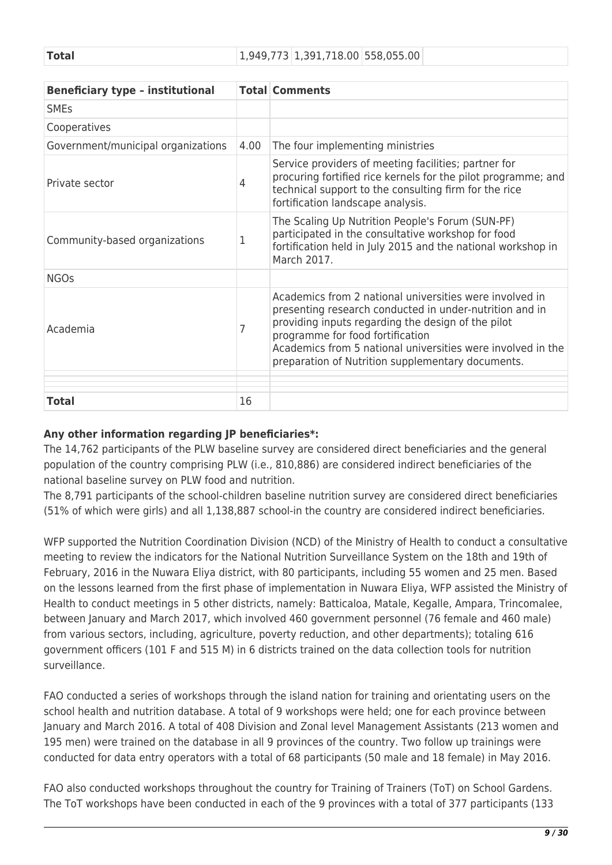| <b>Total</b> | 1,949,773 1,391,718.00 558,055.00 |
|--------------|-----------------------------------|
|--------------|-----------------------------------|

| <b>Beneficiary type - institutional</b> |      | <b>Total Comments</b>                                                                                                                                                                                                                                                                                                            |
|-----------------------------------------|------|----------------------------------------------------------------------------------------------------------------------------------------------------------------------------------------------------------------------------------------------------------------------------------------------------------------------------------|
| <b>SMEs</b>                             |      |                                                                                                                                                                                                                                                                                                                                  |
| Cooperatives                            |      |                                                                                                                                                                                                                                                                                                                                  |
| Government/municipal organizations      | 4.00 | The four implementing ministries                                                                                                                                                                                                                                                                                                 |
| Private sector                          | 4    | Service providers of meeting facilities; partner for<br>procuring fortified rice kernels for the pilot programme; and<br>technical support to the consulting firm for the rice<br>fortification landscape analysis.                                                                                                              |
| Community-based organizations           | 1    | The Scaling Up Nutrition People's Forum (SUN-PF)<br>participated in the consultative workshop for food<br>fortification held in July 2015 and the national workshop in<br>March 2017.                                                                                                                                            |
| <b>NGOs</b>                             |      |                                                                                                                                                                                                                                                                                                                                  |
| Academia                                | 7    | Academics from 2 national universities were involved in<br>presenting research conducted in under-nutrition and in<br>providing inputs regarding the design of the pilot<br>programme for food fortification<br>Academics from 5 national universities were involved in the<br>preparation of Nutrition supplementary documents. |
| <b>Total</b>                            | 16   |                                                                                                                                                                                                                                                                                                                                  |

## **Any other information regarding JP beneficiaries\*:**

The 14,762 participants of the PLW baseline survey are considered direct beneficiaries and the general population of the country comprising PLW (i.e., 810,886) are considered indirect beneficiaries of the national baseline survey on PLW food and nutrition.

The 8,791 participants of the school-children baseline nutrition survey are considered direct beneficiaries (51% of which were girls) and all 1,138,887 school-in the country are considered indirect beneficiaries.

WFP supported the Nutrition Coordination Division (NCD) of the Ministry of Health to conduct a consultative meeting to review the indicators for the National Nutrition Surveillance System on the 18th and 19th of February, 2016 in the Nuwara Eliya district, with 80 participants, including 55 women and 25 men. Based on the lessons learned from the first phase of implementation in Nuwara Eliya, WFP assisted the Ministry of Health to conduct meetings in 5 other districts, namely: Batticaloa, Matale, Kegalle, Ampara, Trincomalee, between January and March 2017, which involved 460 government personnel (76 female and 460 male) from various sectors, including, agriculture, poverty reduction, and other departments); totaling 616 government officers (101 F and 515 M) in 6 districts trained on the data collection tools for nutrition surveillance.

FAO conducted a series of workshops through the island nation for training and orientating users on the school health and nutrition database. A total of 9 workshops were held; one for each province between January and March 2016. A total of 408 Division and Zonal level Management Assistants (213 women and 195 men) were trained on the database in all 9 provinces of the country. Two follow up trainings were conducted for data entry operators with a total of 68 participants (50 male and 18 female) in May 2016.

FAO also conducted workshops throughout the country for Training of Trainers (ToT) on School Gardens. The ToT workshops have been conducted in each of the 9 provinces with a total of 377 participants (133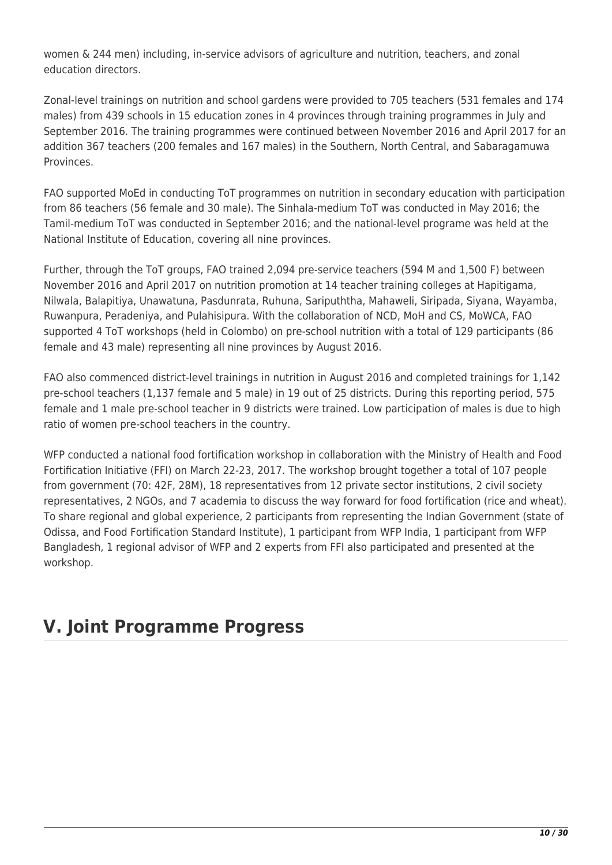women & 244 men) including, in-service advisors of agriculture and nutrition, teachers, and zonal education directors.

Zonal-level trainings on nutrition and school gardens were provided to 705 teachers (531 females and 174 males) from 439 schools in 15 education zones in 4 provinces through training programmes in July and September 2016. The training programmes were continued between November 2016 and April 2017 for an addition 367 teachers (200 females and 167 males) in the Southern, North Central, and Sabaragamuwa **Provinces** 

FAO supported MoEd in conducting ToT programmes on nutrition in secondary education with participation from 86 teachers (56 female and 30 male). The Sinhala-medium ToT was conducted in May 2016; the Tamil-medium ToT was conducted in September 2016; and the national-level programe was held at the National Institute of Education, covering all nine provinces.

Further, through the ToT groups, FAO trained 2,094 pre-service teachers (594 M and 1,500 F) between November 2016 and April 2017 on nutrition promotion at 14 teacher training colleges at Hapitigama, Nilwala, Balapitiya, Unawatuna, Pasdunrata, Ruhuna, Saripuththa, Mahaweli, Siripada, Siyana, Wayamba, Ruwanpura, Peradeniya, and Pulahisipura. With the collaboration of NCD, MoH and CS, MoWCA, FAO supported 4 ToT workshops (held in Colombo) on pre-school nutrition with a total of 129 participants (86 female and 43 male) representing all nine provinces by August 2016.

FAO also commenced district-level trainings in nutrition in August 2016 and completed trainings for 1,142 pre-school teachers (1,137 female and 5 male) in 19 out of 25 districts. During this reporting period, 575 female and 1 male pre-school teacher in 9 districts were trained. Low participation of males is due to high ratio of women pre-school teachers in the country.

WFP conducted a national food fortification workshop in collaboration with the Ministry of Health and Food Fortification Initiative (FFI) on March 22-23, 2017. The workshop brought together a total of 107 people from government (70: 42F, 28M), 18 representatives from 12 private sector institutions, 2 civil society representatives, 2 NGOs, and 7 academia to discuss the way forward for food fortification (rice and wheat). To share regional and global experience, 2 participants from representing the Indian Government (state of Odissa, and Food Fortification Standard Institute), 1 participant from WFP India, 1 participant from WFP Bangladesh, 1 regional advisor of WFP and 2 experts from FFI also participated and presented at the workshop.

# **V. Joint Programme Progress**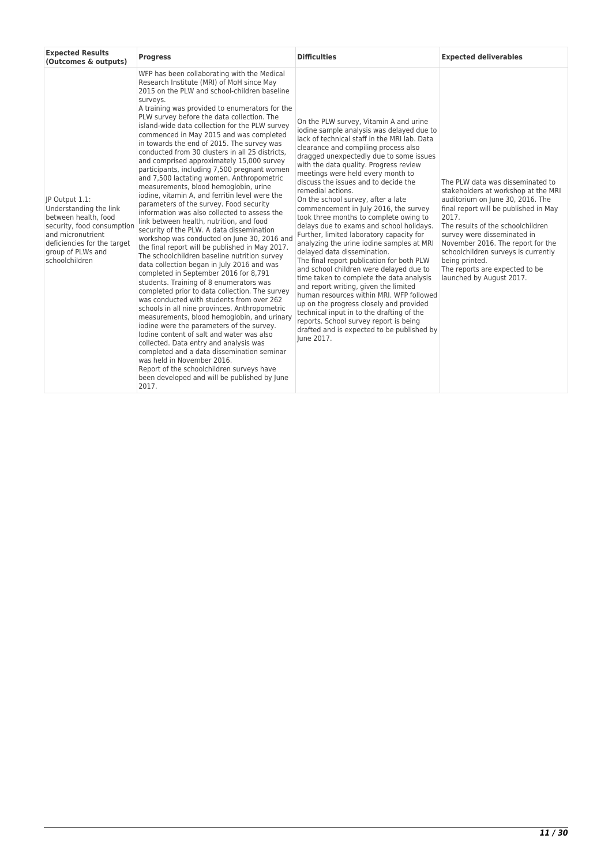| <b>Expected Results</b><br>(Outcomes & outputs)                                                                                                                                           | <b>Progress</b>                                                                                                                                                                                                                                                                                                                                                                                                                                                                                                                                                                                                                                                                                                                                                                                                                                                                                                                                                                                                                                                                                                                                                                                                                                                                                                                                                                                                                                                                                                                                                                                                                                                                      | <b>Difficulties</b>                                                                                                                                                                                                                                                                                                                                                                                                                                                                                                                                                                                                                                                                                                                                                                                                                                                                                                                                                                                                                                                                    | <b>Expected deliverables</b>                                                                                                                                                                                                                                                                                                                                                                  |
|-------------------------------------------------------------------------------------------------------------------------------------------------------------------------------------------|--------------------------------------------------------------------------------------------------------------------------------------------------------------------------------------------------------------------------------------------------------------------------------------------------------------------------------------------------------------------------------------------------------------------------------------------------------------------------------------------------------------------------------------------------------------------------------------------------------------------------------------------------------------------------------------------------------------------------------------------------------------------------------------------------------------------------------------------------------------------------------------------------------------------------------------------------------------------------------------------------------------------------------------------------------------------------------------------------------------------------------------------------------------------------------------------------------------------------------------------------------------------------------------------------------------------------------------------------------------------------------------------------------------------------------------------------------------------------------------------------------------------------------------------------------------------------------------------------------------------------------------------------------------------------------------|----------------------------------------------------------------------------------------------------------------------------------------------------------------------------------------------------------------------------------------------------------------------------------------------------------------------------------------------------------------------------------------------------------------------------------------------------------------------------------------------------------------------------------------------------------------------------------------------------------------------------------------------------------------------------------------------------------------------------------------------------------------------------------------------------------------------------------------------------------------------------------------------------------------------------------------------------------------------------------------------------------------------------------------------------------------------------------------|-----------------------------------------------------------------------------------------------------------------------------------------------------------------------------------------------------------------------------------------------------------------------------------------------------------------------------------------------------------------------------------------------|
| IP Output 1.1:<br>Understanding the link<br>between health, food<br>security, food consumption<br>and micronutrient<br>deficiencies for the target<br>group of PLWs and<br>schoolchildren | WFP has been collaborating with the Medical<br>Research Institute (MRI) of MoH since May<br>2015 on the PLW and school-children baseline<br>surveys.<br>A training was provided to enumerators for the<br>PLW survey before the data collection. The<br>island-wide data collection for the PLW survey<br>commenced in May 2015 and was completed<br>in towards the end of 2015. The survey was<br>conducted from 30 clusters in all 25 districts.<br>and comprised approximately 15,000 survey<br>participants, including 7,500 pregnant women<br>and 7,500 lactating women. Anthropometric<br>measurements, blood hemoglobin, urine<br>iodine, vitamin A, and ferritin level were the<br>parameters of the survey. Food security<br>information was also collected to assess the<br>link between health, nutrition, and food<br>security of the PLW. A data dissemination<br>workshop was conducted on June 30, 2016 and<br>the final report will be published in May 2017.<br>The schoolchildren baseline nutrition survey<br>data collection began in July 2016 and was<br>completed in September 2016 for 8,791<br>students. Training of 8 enumerators was<br>completed prior to data collection. The survey<br>was conducted with students from over 262<br>schools in all nine provinces. Anthropometric<br>measurements, blood hemoglobin, and urinary<br>iodine were the parameters of the survey.<br>lodine content of salt and water was also<br>collected. Data entry and analysis was<br>completed and a data dissemination seminar<br>was held in November 2016.<br>Report of the schoolchildren surveys have<br>been developed and will be published by June<br>2017. | On the PLW survey, Vitamin A and urine<br>iodine sample analysis was delayed due to<br>lack of technical staff in the MRI lab. Data<br>clearance and compiling process also<br>dragged unexpectedly due to some issues<br>with the data quality. Progress review<br>meetings were held every month to<br>discuss the issues and to decide the<br>remedial actions.<br>On the school survey, after a late<br>commencement in July 2016, the survey<br>took three months to complete owing to<br>delays due to exams and school holidays.<br>Further, limited laboratory capacity for<br>analyzing the urine iodine samples at MRI<br>delayed data dissemination.<br>The final report publication for both PLW<br>and school children were delayed due to<br>time taken to complete the data analysis<br>and report writing, given the limited<br>human resources within MRI. WFP followed<br>up on the progress closely and provided<br>technical input in to the drafting of the<br>reports. School survey report is being<br>drafted and is expected to be published by<br>lune 2017. | The PLW data was disseminated to<br>stakeholders at workshop at the MRI<br>auditorium on June 30, 2016. The<br>final report will be published in May<br>2017.<br>The results of the schoolchildren<br>survey were disseminated in<br>November 2016. The report for the<br>schoolchildren surveys is currently<br>being printed.<br>The reports are expected to be<br>launched by August 2017. |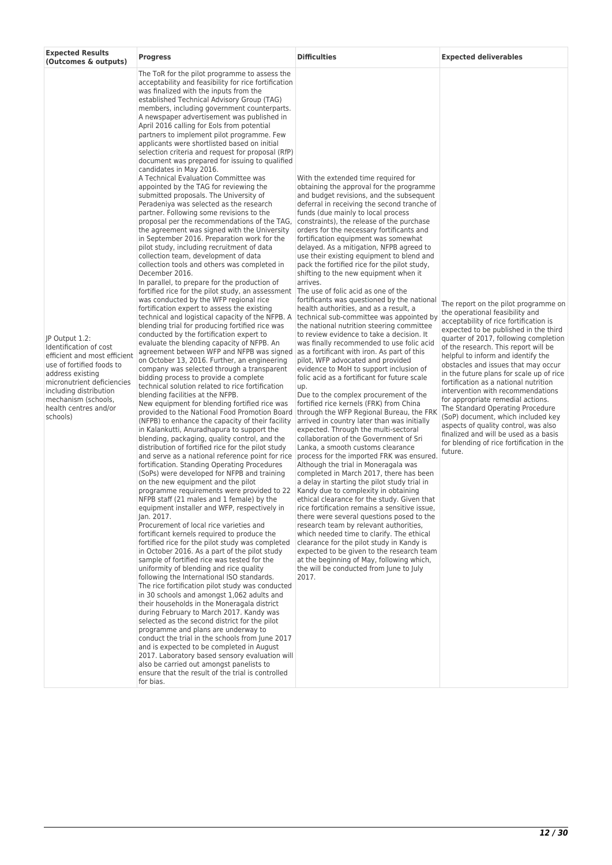| <b>Expected Results</b><br>(Outcomes & outputs)                                                                                                                                                                                               | <b>Progress</b>                                                                                                                                                                                                                                                                                                                                                                                                                                                                                                                                                                                                                                                                                                                                                                                                                                                                                                                                                                                                                                                                                                                                                                                                                                                                                                                                                                                                                                                                                                                                                                                                                                                                                                                                                                                                                                                                                                                                                                                                                                                                                                                                                                                                                                                                                                                                                                                                                                                                                                                                                                                                                                                                                                                                                                                                                                                                                                                                                                                                                                                                                                                                                                                                                                                                                                                                                             | <b>Difficulties</b>                                                                                                                                                                                                                                                                                                                                                                                                                                                                                                                                                                                                                                                                                                                                                                                                                                                                                                                                                                                                                                                                                                                                                                                                                                                                                                                                                                                                                                                                                                                                                                                                                                                                                                                                                                                                                                                                                                                                                             | <b>Expected deliverables</b>                                                                                                                                                                                                                                                                                                                                                                                                                                                                                                                                                                                                                                                                               |
|-----------------------------------------------------------------------------------------------------------------------------------------------------------------------------------------------------------------------------------------------|-----------------------------------------------------------------------------------------------------------------------------------------------------------------------------------------------------------------------------------------------------------------------------------------------------------------------------------------------------------------------------------------------------------------------------------------------------------------------------------------------------------------------------------------------------------------------------------------------------------------------------------------------------------------------------------------------------------------------------------------------------------------------------------------------------------------------------------------------------------------------------------------------------------------------------------------------------------------------------------------------------------------------------------------------------------------------------------------------------------------------------------------------------------------------------------------------------------------------------------------------------------------------------------------------------------------------------------------------------------------------------------------------------------------------------------------------------------------------------------------------------------------------------------------------------------------------------------------------------------------------------------------------------------------------------------------------------------------------------------------------------------------------------------------------------------------------------------------------------------------------------------------------------------------------------------------------------------------------------------------------------------------------------------------------------------------------------------------------------------------------------------------------------------------------------------------------------------------------------------------------------------------------------------------------------------------------------------------------------------------------------------------------------------------------------------------------------------------------------------------------------------------------------------------------------------------------------------------------------------------------------------------------------------------------------------------------------------------------------------------------------------------------------------------------------------------------------------------------------------------------------------------------------------------------------------------------------------------------------------------------------------------------------------------------------------------------------------------------------------------------------------------------------------------------------------------------------------------------------------------------------------------------------------------------------------------------------------------------------------------------------|---------------------------------------------------------------------------------------------------------------------------------------------------------------------------------------------------------------------------------------------------------------------------------------------------------------------------------------------------------------------------------------------------------------------------------------------------------------------------------------------------------------------------------------------------------------------------------------------------------------------------------------------------------------------------------------------------------------------------------------------------------------------------------------------------------------------------------------------------------------------------------------------------------------------------------------------------------------------------------------------------------------------------------------------------------------------------------------------------------------------------------------------------------------------------------------------------------------------------------------------------------------------------------------------------------------------------------------------------------------------------------------------------------------------------------------------------------------------------------------------------------------------------------------------------------------------------------------------------------------------------------------------------------------------------------------------------------------------------------------------------------------------------------------------------------------------------------------------------------------------------------------------------------------------------------------------------------------------------------|------------------------------------------------------------------------------------------------------------------------------------------------------------------------------------------------------------------------------------------------------------------------------------------------------------------------------------------------------------------------------------------------------------------------------------------------------------------------------------------------------------------------------------------------------------------------------------------------------------------------------------------------------------------------------------------------------------|
| IP Output 1.2:<br>Identification of cost<br>efficient and most efficient<br>use of fortified foods to<br>address existing<br>micronutrient deficiencies<br>including distribution<br>mechanism (schools,<br>health centres and/or<br>schools) | The ToR for the pilot programme to assess the<br>acceptability and feasibility for rice fortification<br>was finalized with the inputs from the<br>established Technical Advisory Group (TAG)<br>members, including government counterparts.<br>A newspaper advertisement was published in<br>April 2016 calling for Eols from potential<br>partners to implement pilot programme. Few<br>applicants were shortlisted based on initial<br>selection criteria and request for proposal (RfP)<br>document was prepared for issuing to qualified<br>candidates in May 2016.<br>A Technical Evaluation Committee was<br>appointed by the TAG for reviewing the<br>submitted proposals. The University of<br>Peradeniya was selected as the research<br>partner. Following some revisions to the<br>proposal per the recommendations of the TAG,<br>the agreement was signed with the University<br>in September 2016. Preparation work for the<br>pilot study, including recruitment of data<br>collection team, development of data<br>collection tools and others was completed in<br>December 2016.<br>In parallel, to prepare for the production of<br>fortified rice for the pilot study, an assessment The use of folic acid as one of the<br>was conducted by the WFP regional rice<br>fortification expert to assess the existing<br>technical and logistical capacity of the NFPB. A<br>blending trial for producing fortified rice was<br>conducted by the fortification expert to<br>evaluate the blending capacity of NFPB. An<br>agreement between WFP and NFPB was signed<br>on October 13, 2016. Further, an engineering<br>company was selected through a transparent<br>bidding process to provide a complete<br>technical solution related to rice fortification<br>blending facilities at the NFPB.<br>New equipment for blending fortified rice was<br>provided to the National Food Promotion Board<br>(NFPB) to enhance the capacity of their facility<br>in Kalankutti, Anuradhapura to support the<br>blending, packaging, quality control, and the<br>distribution of fortified rice for the pilot study<br>and serve as a national reference point for rice<br>fortification. Standing Operating Procedures<br>(SoPs) were developed for NFPB and training<br>on the new equipment and the pilot<br>programme requirements were provided to 22<br>NFPB staff (21 males and 1 female) by the<br>equipment installer and WFP, respectively in<br>Jan. 2017.<br>Procurement of local rice varieties and<br>fortificant kernels required to produce the<br>fortified rice for the pilot study was completed<br>in October 2016. As a part of the pilot study<br>sample of fortified rice was tested for the<br>uniformity of blending and rice quality<br>following the International ISO standards.<br>The rice fortification pilot study was conducted<br>in 30 schools and amongst 1,062 adults and<br>their households in the Moneragala district<br>during February to March 2017. Kandy was<br>selected as the second district for the pilot<br>programme and plans are underway to<br>conduct the trial in the schools from June 2017<br>and is expected to be completed in August<br>2017. Laboratory based sensory evaluation will<br>also be carried out amongst panelists to<br>ensure that the result of the trial is controlled<br>for bias. | With the extended time required for<br>obtaining the approval for the programme<br>and budget revisions, and the subsequent<br>deferral in receiving the second tranche of<br>funds (due mainly to local process<br>constraints), the release of the purchase<br>orders for the necessary fortificants and<br>fortification equipment was somewhat<br>delayed. As a mitigation, NFPB agreed to<br>use their existing equipment to blend and<br>pack the fortified rice for the pilot study,<br>shifting to the new equipment when it<br>arrives.<br>fortificants was questioned by the national<br>health authorities, and as a result, a<br>technical sub-committee was appointed by<br>the national nutrition steering committee<br>to review evidence to take a decision. It<br>was finally recommended to use folic acid<br>as a fortificant with iron. As part of this<br>pilot, WFP advocated and provided<br>evidence to MoH to support inclusion of<br>folic acid as a fortificant for future scale<br>up.<br>Due to the complex procurement of the<br>fortified rice kernels (FRK) from China<br>through the WFP Regional Bureau, the FRK<br>arrived in country later than was initially<br>expected. Through the multi-sectoral<br>collaboration of the Government of Sri<br>Lanka, a smooth customs clearance<br>process for the imported FRK was ensured.<br>Although the trial in Moneragala was<br>completed in March 2017, there has been<br>a delay in starting the pilot study trial in<br>Kandy due to complexity in obtaining<br>ethical clearance for the study. Given that<br>rice fortification remains a sensitive issue,<br>there were several questions posed to the<br>research team by relevant authorities,<br>which needed time to clarify. The ethical<br>clearance for the pilot study in Kandy is<br>expected to be given to the research team<br>at the beginning of May, following which,<br>the will be conducted from June to July<br>2017. | The report on the pilot programme on<br>the operational feasibility and<br>acceptability of rice fortification is<br>expected to be published in the third<br>quarter of 2017, following completion<br>of the research. This report will be<br>helpful to inform and identify the<br>obstacles and issues that may occur<br>in the future plans for scale up of rice<br>fortification as a national nutrition<br>intervention with recommendations<br>for appropriate remedial actions.<br>The Standard Operating Procedure<br>(SoP) document, which included key<br>aspects of quality control, was also<br>finalized and will be used as a basis<br>for blending of rice fortification in the<br>future. |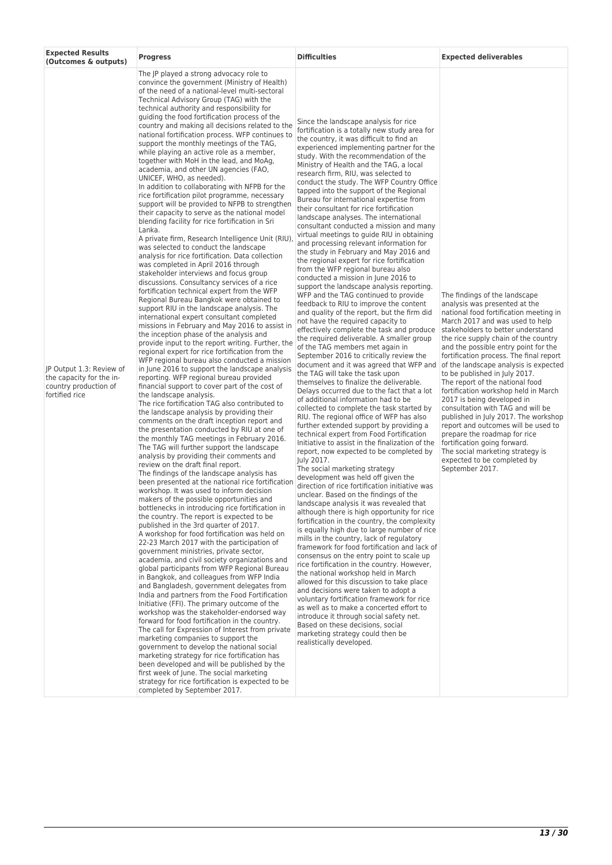| <b>Expected Results</b><br>(Outcomes & outputs)                                                 | <b>Progress</b>                                                                                                                                                                                                                                                                                                                                                                                                                                                                                                                                                                                                                                                                                                                                                                                                                                                                                                                                                                                                                                                                                                                                                                                                                                                                                                                                                                                                                                                                                                                                                                                                                                                                                                                                                                                                                                                                                                                                                                                                                                                                                                                                                                                                                                                                                                                                                                                                                                                                                                                                                                                                                                                                                                                                                                                                                                                                                                                                                                                                                                                                                                                                                                                                                                                                                                                                                                                            | <b>Difficulties</b>                                                                                                                                                                                                                                                                                                                                                                                                                                                                                                                                                                                                                                                                                                                                                                                                                                                                                                                                                                                                                                                                                                                                                                                                                                                                                                                                                                                                                                                                                                                                                                                                                                                                                                                                                                                                                                                                                                                                                                                                                                                                                                                                                                                                                                                                                                                                                                                                                                                                                                                                                                                                                                                 | <b>Expected deliverables</b>                                                                                                                                                                                                                                                                                                                                                                                                                                                                                                                                                                                                                                                                                                                                             |
|-------------------------------------------------------------------------------------------------|------------------------------------------------------------------------------------------------------------------------------------------------------------------------------------------------------------------------------------------------------------------------------------------------------------------------------------------------------------------------------------------------------------------------------------------------------------------------------------------------------------------------------------------------------------------------------------------------------------------------------------------------------------------------------------------------------------------------------------------------------------------------------------------------------------------------------------------------------------------------------------------------------------------------------------------------------------------------------------------------------------------------------------------------------------------------------------------------------------------------------------------------------------------------------------------------------------------------------------------------------------------------------------------------------------------------------------------------------------------------------------------------------------------------------------------------------------------------------------------------------------------------------------------------------------------------------------------------------------------------------------------------------------------------------------------------------------------------------------------------------------------------------------------------------------------------------------------------------------------------------------------------------------------------------------------------------------------------------------------------------------------------------------------------------------------------------------------------------------------------------------------------------------------------------------------------------------------------------------------------------------------------------------------------------------------------------------------------------------------------------------------------------------------------------------------------------------------------------------------------------------------------------------------------------------------------------------------------------------------------------------------------------------------------------------------------------------------------------------------------------------------------------------------------------------------------------------------------------------------------------------------------------------------------------------------------------------------------------------------------------------------------------------------------------------------------------------------------------------------------------------------------------------------------------------------------------------------------------------------------------------------------------------------------------------------------------------------------------------------------------------------------------------|---------------------------------------------------------------------------------------------------------------------------------------------------------------------------------------------------------------------------------------------------------------------------------------------------------------------------------------------------------------------------------------------------------------------------------------------------------------------------------------------------------------------------------------------------------------------------------------------------------------------------------------------------------------------------------------------------------------------------------------------------------------------------------------------------------------------------------------------------------------------------------------------------------------------------------------------------------------------------------------------------------------------------------------------------------------------------------------------------------------------------------------------------------------------------------------------------------------------------------------------------------------------------------------------------------------------------------------------------------------------------------------------------------------------------------------------------------------------------------------------------------------------------------------------------------------------------------------------------------------------------------------------------------------------------------------------------------------------------------------------------------------------------------------------------------------------------------------------------------------------------------------------------------------------------------------------------------------------------------------------------------------------------------------------------------------------------------------------------------------------------------------------------------------------------------------------------------------------------------------------------------------------------------------------------------------------------------------------------------------------------------------------------------------------------------------------------------------------------------------------------------------------------------------------------------------------------------------------------------------------------------------------------------------------|--------------------------------------------------------------------------------------------------------------------------------------------------------------------------------------------------------------------------------------------------------------------------------------------------------------------------------------------------------------------------------------------------------------------------------------------------------------------------------------------------------------------------------------------------------------------------------------------------------------------------------------------------------------------------------------------------------------------------------------------------------------------------|
| JP Output 1.3: Review of<br>the capacity for the in-<br>country production of<br>fortified rice | The JP played a strong advocacy role to<br>convince the government (Ministry of Health)<br>of the need of a national-level multi-sectoral<br>Technical Advisory Group (TAG) with the<br>technical authority and responsibility for<br>guiding the food fortification process of the<br>country and making all decisions related to the<br>national fortification process. WFP continues to<br>support the monthly meetings of the TAG,<br>while playing an active role as a member,<br>together with MoH in the lead, and MoAg,<br>academia, and other UN agencies (FAO,<br>UNICEF, WHO, as needed).<br>In addition to collaborating with NFPB for the<br>rice fortification pilot programme, necessary<br>support will be provided to NFPB to strengthen<br>their capacity to serve as the national model<br>blending facility for rice fortification in Sri<br>Lanka.<br>A private firm, Research Intelligence Unit (RIU),<br>was selected to conduct the landscape<br>analysis for rice fortification. Data collection<br>was completed in April 2016 through<br>stakeholder interviews and focus group<br>discussions. Consultancy services of a rice<br>fortification technical expert from the WFP<br>Regional Bureau Bangkok were obtained to<br>support RIU in the landscape analysis. The<br>international expert consultant completed<br>missions in February and May 2016 to assist in<br>the inception phase of the analysis and<br>provide input to the report writing. Further, the<br>regional expert for rice fortification from the<br>WFP regional bureau also conducted a mission<br>in June 2016 to support the landscape analysis<br>reporting. WFP regional bureau provided<br>financial support to cover part of the cost of<br>the landscape analysis.<br>The rice fortification TAG also contributed to<br>the landscape analysis by providing their<br>comments on the draft inception report and<br>the presentation conducted by RIU at one of<br>the monthly TAG meetings in February 2016.<br>The TAG will further support the landscape<br>analysis by providing their comments and<br>review on the draft final report.<br>The findings of the landscape analysis has<br>been presented at the national rice fortification<br>workshop. It was used to inform decision<br>makers of the possible opportunities and<br>bottlenecks in introducing rice fortification in<br>the country. The report is expected to be.<br>published in the 3rd quarter of 2017.<br>A workshop for food fortification was held on<br>22-23 March 2017 with the participation of<br>government ministries, private sector,<br>academia, and civil society organizations and<br>global participants from WFP Regional Bureau<br>in Bangkok, and colleagues from WFP India<br>and Bangladesh, government delegates from<br>India and partners from the Food Fortification<br>Initiative (FFI). The primary outcome of the<br>workshop was the stakeholder-endorsed way<br>forward for food fortification in the country.<br>The call for Expression of Interest from private<br>marketing companies to support the<br>government to develop the national social<br>marketing strategy for rice fortification has<br>been developed and will be published by the<br>first week of June. The social marketing<br>strategy for rice fortification is expected to be<br>completed by September 2017. | Since the landscape analysis for rice<br>fortification is a totally new study area for<br>the country, it was difficult to find an<br>experienced implementing partner for the<br>study. With the recommendation of the<br>Ministry of Health and the TAG, a local<br>research firm, RIU, was selected to<br>conduct the study. The WFP Country Office<br>tapped into the support of the Regional<br>Bureau for international expertise from<br>their consultant for rice fortification<br>landscape analyses. The international<br>consultant conducted a mission and many<br>virtual meetings to guide RIU in obtaining<br>and processing relevant information for<br>the study in February and May 2016 and<br>the regional expert for rice fortification<br>from the WFP regional bureau also<br>conducted a mission in June 2016 to<br>support the landscape analysis reporting.<br>WFP and the TAG continued to provide<br>feedback to RIU to improve the content<br>and quality of the report, but the firm did<br>not have the required capacity to<br>effectively complete the task and produce<br>the required deliverable. A smaller group<br>of the TAG members met again in<br>September 2016 to critically review the<br>document and it was agreed that WFP and<br>the TAG will take the task upon<br>themselves to finalize the deliverable.<br>Delays occurred due to the fact that a lot<br>of additional information had to be<br>collected to complete the task started by<br>RIU. The regional office of WFP has also<br>further extended support by providing a<br>technical expert from Food Fortification<br>Initiative to assist in the finalization of the<br>report, now expected to be completed by<br>July 2017.<br>The social marketing strategy<br>development was held off given the<br>direction of rice fortification initiative was<br>unclear. Based on the findings of the<br>landscape analysis it was revealed that<br>although there is high opportunity for rice<br>fortification in the country, the complexity<br>is equally high due to large number of rice<br>mills in the country, lack of regulatory<br>framework for food fortification and lack of<br>consensus on the entry point to scale up<br>rice fortification in the country. However,<br>the national workshop held in March<br>allowed for this discussion to take place<br>and decisions were taken to adopt a<br>voluntary fortification framework for rice<br>as well as to make a concerted effort to<br>introduce it through social safety net.<br>Based on these decisions, social<br>marketing strategy could then be<br>realistically developed. | The findings of the landscape<br>analysis was presented at the<br>national food fortification meeting in<br>March 2017 and was used to help<br>stakeholders to better understand<br>the rice supply chain of the country<br>and the possible entry point for the<br>fortification process. The final report<br>of the landscape analysis is expected<br>to be published in July 2017.<br>The report of the national food<br>fortification workshop held in March<br>2017 is being developed in<br>consultation with TAG and will be<br>published in July 2017. The workshop<br>report and outcomes will be used to<br>prepare the roadmap for rice<br>fortification going forward.<br>The social marketing strategy is<br>expected to be completed by<br>September 2017. |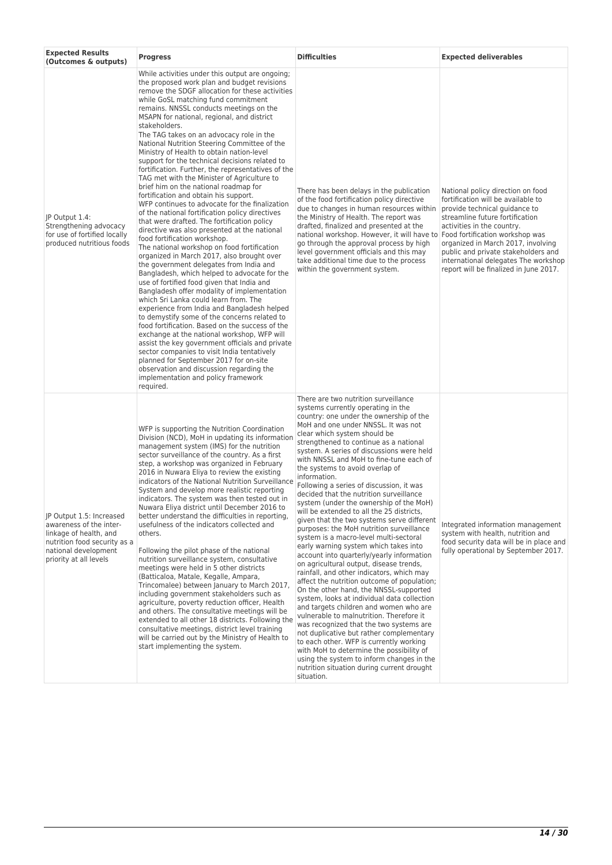| <b>Expected Results</b><br>(Outcomes & outputs)                                                                                                                 | <b>Progress</b>                                                                                                                                                                                                                                                                                                                                                                                                                                                                                                                                                                                                                                                                                                                                                                                                                                                                                                                                                                                                                                                                                                                                                                                                                                                                                                                                                                                                                                                                                                                                                                                                                                                                                     | <b>Difficulties</b>                                                                                                                                                                                                                                                                                                                                                                                                                                                                                                                                                                                                                                                                                                                                                                                                                                                                                                                                                                                                                                                                                                                                                                                                                                                                                                                                                                                     | <b>Expected deliverables</b>                                                                                                                                                                                                                                                                                                                                                |
|-----------------------------------------------------------------------------------------------------------------------------------------------------------------|-----------------------------------------------------------------------------------------------------------------------------------------------------------------------------------------------------------------------------------------------------------------------------------------------------------------------------------------------------------------------------------------------------------------------------------------------------------------------------------------------------------------------------------------------------------------------------------------------------------------------------------------------------------------------------------------------------------------------------------------------------------------------------------------------------------------------------------------------------------------------------------------------------------------------------------------------------------------------------------------------------------------------------------------------------------------------------------------------------------------------------------------------------------------------------------------------------------------------------------------------------------------------------------------------------------------------------------------------------------------------------------------------------------------------------------------------------------------------------------------------------------------------------------------------------------------------------------------------------------------------------------------------------------------------------------------------------|---------------------------------------------------------------------------------------------------------------------------------------------------------------------------------------------------------------------------------------------------------------------------------------------------------------------------------------------------------------------------------------------------------------------------------------------------------------------------------------------------------------------------------------------------------------------------------------------------------------------------------------------------------------------------------------------------------------------------------------------------------------------------------------------------------------------------------------------------------------------------------------------------------------------------------------------------------------------------------------------------------------------------------------------------------------------------------------------------------------------------------------------------------------------------------------------------------------------------------------------------------------------------------------------------------------------------------------------------------------------------------------------------------|-----------------------------------------------------------------------------------------------------------------------------------------------------------------------------------------------------------------------------------------------------------------------------------------------------------------------------------------------------------------------------|
| JP Output 1.4:<br>Strengthening advocacy<br>for use of fortified locally<br>produced nutritious foods                                                           | While activities under this output are ongoing;<br>the proposed work plan and budget revisions<br>remove the SDGF allocation for these activities<br>while GoSL matching fund commitment<br>remains. NNSSL conducts meetings on the<br>MSAPN for national, regional, and district<br>stakeholders.<br>The TAG takes on an advocacy role in the<br>National Nutrition Steering Committee of the<br>Ministry of Health to obtain nation-level<br>support for the technical decisions related to<br>fortification. Further, the representatives of the<br>TAG met with the Minister of Agriculture to<br>brief him on the national roadmap for<br>fortification and obtain his support.<br>WFP continues to advocate for the finalization<br>of the national fortification policy directives<br>that were drafted. The fortification policy<br>directive was also presented at the national<br>food fortification workshop.<br>The national workshop on food fortification<br>organized in March 2017, also brought over<br>the government delegates from India and<br>Bangladesh, which helped to advocate for the<br>use of fortified food given that India and<br>Bangladesh offer modality of implementation<br>which Sri Lanka could learn from. The<br>experience from India and Bangladesh helped<br>to demystify some of the concerns related to<br>food fortification. Based on the success of the<br>exchange at the national workshop, WFP will<br>assist the key government officials and private<br>sector companies to visit India tentatively<br>planned for September 2017 for on-site<br>observation and discussion regarding the<br>implementation and policy framework<br>required. | There has been delays in the publication<br>of the food fortification policy directive<br>due to changes in human resources within<br>the Ministry of Health. The report was<br>drafted, finalized and presented at the<br>national workshop. However, it will have to<br>go through the approval process by high<br>level government officials and this may<br>take additional time due to the process<br>within the government system.                                                                                                                                                                                                                                                                                                                                                                                                                                                                                                                                                                                                                                                                                                                                                                                                                                                                                                                                                                | National policy direction on food<br>fortification will be available to<br>provide technical guidance to<br>streamline future fortification<br>activities in the country.<br>Food fortification workshop was<br>organized in March 2017, involving<br>public and private stakeholders and<br>international delegates The workshop<br>report will be finalized in June 2017. |
| JP Output 1.5: Increased<br>awareness of the inter-<br>linkage of health, and<br>nutrition food security as a<br>national development<br>priority at all levels | WFP is supporting the Nutrition Coordination<br>Division (NCD), MoH in updating its information<br>management system (IMS) for the nutrition<br>sector surveillance of the country. As a first<br>step, a workshop was organized in February<br>2016 in Nuwara Eliya to review the existing<br>indicators of the National Nutrition Surveillance<br>System and develop more realistic reporting<br>indicators. The system was then tested out in<br>Nuwara Eliya district until December 2016 to<br>better understand the difficulties in reporting,<br>usefulness of the indicators collected and<br>others.<br>Following the pilot phase of the national<br>nutrition surveillance system, consultative<br>meetings were held in 5 other districts<br>(Batticaloa, Matale, Kegalle, Ampara,<br>Trincomalee) between January to March 2017,<br>including government stakeholders such as<br>agriculture, poverty reduction officer, Health<br>and others. The consultative meetings will be<br>extended to all other 18 districts. Following the<br>consultative meetings, district level training<br>will be carried out by the Ministry of Health to<br>start implementing the system.                                                                                                                                                                                                                                                                                                                                                                                                                                                                                                           | There are two nutrition surveillance<br>systems currently operating in the<br>country: one under the ownership of the<br>MoH and one under NNSSL. It was not<br>clear which system should be<br>strengthened to continue as a national<br>system. A series of discussions were held<br>with NNSSL and MoH to fine-tune each of<br>the systems to avoid overlap of<br>information.<br>Following a series of discussion, it was<br>decided that the nutrition surveillance<br>system (under the ownership of the MoH)<br>will be extended to all the 25 districts,<br>given that the two systems serve different<br>purposes: the MoH nutrition surveillance<br>system is a macro-level multi-sectoral<br>early warning system which takes into<br>account into quarterly/yearly information<br>on agricultural output, disease trends,<br>rainfall, and other indicators, which may<br>affect the nutrition outcome of population;<br>On the other hand, the NNSSL-supported<br>system, looks at individual data collection<br>and targets children and women who are<br>vulnerable to malnutrition. Therefore it<br>was recognized that the two systems are<br>not duplicative but rather complementary<br>to each other. WFP is currently working<br>with MoH to determine the possibility of<br>using the system to inform changes in the<br>nutrition situation during current drought<br>situation. | Integrated information management<br>system with health, nutrition and<br>food security data will be in place and<br>fully operational by September 2017.                                                                                                                                                                                                                   |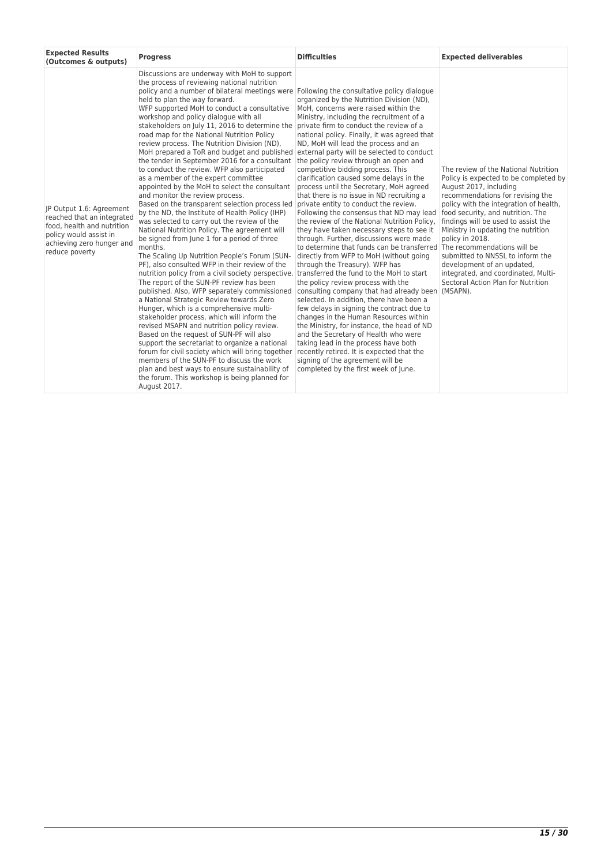| <b>Expected Results</b><br>(Outcomes & outputs)                                                                                                               | <b>Progress</b>                                                                                                                                                                                                                                                                                                                                                                                                                                                                                                                                                                                                                                                                                                                                                                                                                                                                                                                                                                                                                                                                                                                                                                                                                                                                                                                                                                                                                                                                                                                                                                                                                                                                                                                                                                                                                                         | <b>Difficulties</b>                                                                                                                                                                                                                                                                                                                                                                                                                                                                                                                                                                                                                                                                                                                                                                                                                                                                                                                                                                                                                                                                                                                                                                                                                                                                                                     | <b>Expected deliverables</b>                                                                                                                                                                                                                                                                                                                                                                                                                                                                                         |
|---------------------------------------------------------------------------------------------------------------------------------------------------------------|---------------------------------------------------------------------------------------------------------------------------------------------------------------------------------------------------------------------------------------------------------------------------------------------------------------------------------------------------------------------------------------------------------------------------------------------------------------------------------------------------------------------------------------------------------------------------------------------------------------------------------------------------------------------------------------------------------------------------------------------------------------------------------------------------------------------------------------------------------------------------------------------------------------------------------------------------------------------------------------------------------------------------------------------------------------------------------------------------------------------------------------------------------------------------------------------------------------------------------------------------------------------------------------------------------------------------------------------------------------------------------------------------------------------------------------------------------------------------------------------------------------------------------------------------------------------------------------------------------------------------------------------------------------------------------------------------------------------------------------------------------------------------------------------------------------------------------------------------------|-------------------------------------------------------------------------------------------------------------------------------------------------------------------------------------------------------------------------------------------------------------------------------------------------------------------------------------------------------------------------------------------------------------------------------------------------------------------------------------------------------------------------------------------------------------------------------------------------------------------------------------------------------------------------------------------------------------------------------------------------------------------------------------------------------------------------------------------------------------------------------------------------------------------------------------------------------------------------------------------------------------------------------------------------------------------------------------------------------------------------------------------------------------------------------------------------------------------------------------------------------------------------------------------------------------------------|----------------------------------------------------------------------------------------------------------------------------------------------------------------------------------------------------------------------------------------------------------------------------------------------------------------------------------------------------------------------------------------------------------------------------------------------------------------------------------------------------------------------|
| IP Output 1.6: Agreement<br>reached that an integrated<br>food, health and nutrition<br>policy would assist in<br>achieving zero hunger and<br>reduce poverty | Discussions are underway with MoH to support<br>the process of reviewing national nutrition<br>policy and a number of bilateral meetings were Following the consultative policy dialogue<br>held to plan the way forward.<br>WFP supported MoH to conduct a consultative<br>workshop and policy dialogue with all<br>stakeholders on July 11, 2016 to determine the private firm to conduct the review of a<br>road map for the National Nutrition Policy<br>review process. The Nutrition Division (ND),<br>MoH prepared a ToR and budget and published<br>the tender in September 2016 for a consultant<br>to conduct the review. WFP also participated<br>as a member of the expert committee<br>appointed by the MoH to select the consultant<br>and monitor the review process.<br>Based on the transparent selection process led<br>by the ND, the Institute of Health Policy (IHP)<br>was selected to carry out the review of the<br>National Nutrition Policy. The agreement will<br>be signed from June 1 for a period of three<br>months.<br>The Scaling Up Nutrition People's Forum (SUN-<br>PF), also consulted WFP in their review of the<br>nutrition policy from a civil society perspective. transferred the fund to the MoH to start<br>The report of the SUN-PF review has been<br>published. Also, WFP separately commissioned<br>a National Strategic Review towards Zero<br>Hunger, which is a comprehensive multi-<br>stakeholder process, which will inform the<br>revised MSAPN and nutrition policy review.<br>Based on the request of SUN-PF will also<br>support the secretariat to organize a national<br>forum for civil society which will bring together<br>members of the SUN-PF to discuss the work<br>plan and best ways to ensure sustainability of<br>the forum. This workshop is being planned for<br>August 2017. | organized by the Nutrition Division (ND),<br>MoH, concerns were raised within the<br>Ministry, including the recruitment of a<br>national policy. Finally, it was agreed that<br>ND, MoH will lead the process and an<br>external party will be selected to conduct<br>the policy review through an open and<br>competitive bidding process. This<br>clarification caused some delays in the<br>process until the Secretary, MoH agreed<br>that there is no issue in ND recruiting a<br>private entity to conduct the review.<br>Following the consensus that ND may lead<br>the review of the National Nutrition Policy,<br>they have taken necessary steps to see it<br>through. Further, discussions were made<br>to determine that funds can be transferred<br>directly from WFP to MoH (without going<br>through the Treasury). WFP has<br>the policy review process with the<br>consulting company that had already been<br>selected. In addition, there have been a<br>few delays in signing the contract due to<br>changes in the Human Resources within<br>the Ministry, for instance, the head of ND<br>and the Secretary of Health who were<br>taking lead in the process have both<br>recently retired. It is expected that the<br>signing of the agreement will be<br>completed by the first week of June. | The review of the National Nutrition<br>Policy is expected to be completed by<br>August 2017, including<br>recommendations for revising the<br>policy with the integration of health,<br>food security, and nutrition. The<br>findings will be used to assist the<br>Ministry in updating the nutrition<br>policy in 2018.<br>The recommendations will be<br>submitted to NNSSL to inform the<br>development of an updated,<br>integrated, and coordinated, Multi-<br>Sectoral Action Plan for Nutrition<br>(MSAPN). |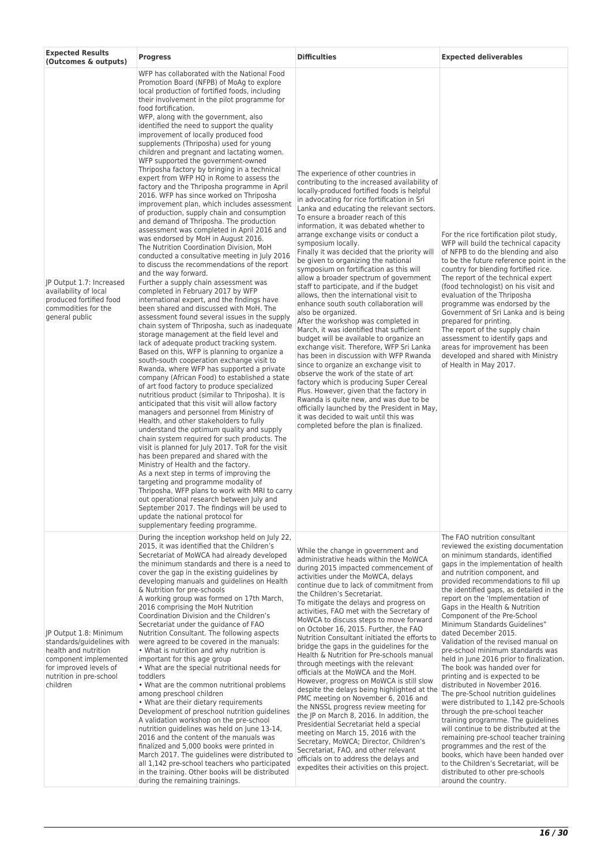| <b>Expected Results</b><br>(Outcomes & outputs)                                                                                                                       | <b>Progress</b>                                                                                                                                                                                                                                                                                                                                                                                                                                                                                                                                                                                                                                                                                                                                                                                                                                                                                                                                                                                                                                                                                                                                                                                                                                                                                                                                                                                                                                                                                                                                                                                                                                                                                                                                                                                                                                                                                                                                                                                                                                                                                                                                                                                                                                                                                                                                                                                                              | <b>Difficulties</b>                                                                                                                                                                                                                                                                                                                                                                                                                                                                                                                                                                                                                                                                                                                                                                                                                                                                                                                                                                                                                                                                                                                                                                                                                                                                          | <b>Expected deliverables</b>                                                                                                                                                                                                                                                                                                                                                                                                                                                                                                                                                                                                                                                                                                                                                                                                                                                                                                                                                                                                                                                      |
|-----------------------------------------------------------------------------------------------------------------------------------------------------------------------|------------------------------------------------------------------------------------------------------------------------------------------------------------------------------------------------------------------------------------------------------------------------------------------------------------------------------------------------------------------------------------------------------------------------------------------------------------------------------------------------------------------------------------------------------------------------------------------------------------------------------------------------------------------------------------------------------------------------------------------------------------------------------------------------------------------------------------------------------------------------------------------------------------------------------------------------------------------------------------------------------------------------------------------------------------------------------------------------------------------------------------------------------------------------------------------------------------------------------------------------------------------------------------------------------------------------------------------------------------------------------------------------------------------------------------------------------------------------------------------------------------------------------------------------------------------------------------------------------------------------------------------------------------------------------------------------------------------------------------------------------------------------------------------------------------------------------------------------------------------------------------------------------------------------------------------------------------------------------------------------------------------------------------------------------------------------------------------------------------------------------------------------------------------------------------------------------------------------------------------------------------------------------------------------------------------------------------------------------------------------------------------------------------------------------|----------------------------------------------------------------------------------------------------------------------------------------------------------------------------------------------------------------------------------------------------------------------------------------------------------------------------------------------------------------------------------------------------------------------------------------------------------------------------------------------------------------------------------------------------------------------------------------------------------------------------------------------------------------------------------------------------------------------------------------------------------------------------------------------------------------------------------------------------------------------------------------------------------------------------------------------------------------------------------------------------------------------------------------------------------------------------------------------------------------------------------------------------------------------------------------------------------------------------------------------------------------------------------------------|-----------------------------------------------------------------------------------------------------------------------------------------------------------------------------------------------------------------------------------------------------------------------------------------------------------------------------------------------------------------------------------------------------------------------------------------------------------------------------------------------------------------------------------------------------------------------------------------------------------------------------------------------------------------------------------------------------------------------------------------------------------------------------------------------------------------------------------------------------------------------------------------------------------------------------------------------------------------------------------------------------------------------------------------------------------------------------------|
| JP Output 1.7: Increased<br>availability of local<br>produced fortified food<br>commodities for the<br>general public                                                 | WFP has collaborated with the National Food<br>Promotion Board (NFPB) of MoAg to explore<br>local production of fortified foods, including<br>their involvement in the pilot programme for<br>food fortification.<br>WFP, along with the government, also<br>identified the need to support the quality<br>improvement of locally produced food<br>supplements (Thriposha) used for young<br>children and pregnant and lactating women.<br>WFP supported the government-owned<br>Thriposha factory by bringing in a technical<br>expert from WFP HQ in Rome to assess the<br>factory and the Thriposha programme in April<br>2016. WFP has since worked on Thriposha<br>improvement plan, which includes assessment<br>of production, supply chain and consumption<br>and demand of Thriposha. The production<br>assessment was completed in April 2016 and<br>was endorsed by MoH in August 2016.<br>The Nutrition Coordination Division, MoH<br>conducted a consultative meeting in July 2016<br>to discuss the recommendations of the report<br>and the way forward.<br>Further a supply chain assessment was<br>completed in February 2017 by WFP<br>international expert, and the findings have<br>been shared and discussed with MoH. The<br>assessment found several issues in the supply<br>chain system of Thriposha, such as inadequate<br>storage management at the field level and<br>lack of adequate product tracking system.<br>Based on this, WFP is planning to organize a<br>south-south cooperation exchange visit to<br>Rwanda, where WFP has supported a private<br>company (African Food) to established a state<br>of art food factory to produce specialized<br>nutritious product (similar to Thriposha). It is<br>anticipated that this visit will allow factory<br>managers and personnel from Ministry of<br>Health, and other stakeholders to fully<br>understand the optimum quality and supply<br>chain system required for such products. The<br>visit is planned for July 2017. ToR for the visit<br>has been prepared and shared with the<br>Ministry of Health and the factory.<br>As a next step in terms of improving the<br>targeting and programme modality of<br>Thriposha, WFP plans to work with MRI to carry<br>out operational research between July and<br>September 2017. The findings will be used to<br>update the national protocol for<br>supplementary feeding programme. | The experience of other countries in<br>contributing to the increased availability of<br>locally-produced fortified foods is helpful<br>in advocating for rice fortification in Sri<br>Lanka and educating the relevant sectors.<br>To ensure a broader reach of this<br>information, it was debated whether to<br>arrange exchange visits or conduct a<br>symposium locally.<br>Finally it was decided that the priority will<br>be given to organizing the national<br>symposium on fortification as this will<br>allow a broader spectrum of government<br>staff to participate, and if the budget<br>allows, then the international visit to<br>enhance south south collaboration will<br>also be organized.<br>After the workshop was completed in<br>March, it was identified that sufficient<br>budget will be available to organize an<br>exchange visit. Therefore, WFP Sri Lanka<br>has been in discussion with WFP Rwanda<br>since to organize an exchange visit to<br>observe the work of the state of art<br>factory which is producing Super Cereal<br>Plus. However, given that the factory in<br>Rwanda is quite new, and was due to be.<br>officially launched by the President in May,<br>it was decided to wait until this was<br>completed before the plan is finalized. | For the rice fortification pilot study,<br>WFP will build the technical capacity<br>of NFPB to do the blending and also<br>to be the future reference point in the<br>country for blending fortified rice.<br>The report of the technical expert<br>(food technologist) on his visit and<br>evaluation of the Thriposha<br>programme was endorsed by the<br>Government of Sri Lanka and is being<br>prepared for printing.<br>The report of the supply chain<br>assessment to identify gaps and<br>areas for improvement has been<br>developed and shared with Ministry<br>of Health in May 2017.                                                                                                                                                                                                                                                                                                                                                                                                                                                                                 |
| JP Output 1.8: Minimum<br>standards/guidelines with<br>health and nutrition<br>component implemented<br>for improved levels of<br>nutrition in pre-school<br>children | During the inception workshop held on July 22,<br>2015, it was identified that the Children's<br>Secretariat of MoWCA had already developed<br>the minimum standards and there is a need to<br>cover the gap in the existing guidelines by<br>developing manuals and quidelines on Health<br>& Nutrition for pre-schools<br>A working group was formed on 17th March,<br>2016 comprising the MoH Nutrition<br>Coordination Division and the Children's<br>Secretariat under the guidance of FAO<br>Nutrition Consultant. The following aspects<br>were agreed to be covered in the manuals:<br>• What is nutrition and why nutrition is<br>important for this age group<br>• What are the special nutritional needs for<br>toddlers<br>. What are the common nutritional problems<br>among preschool children<br>• What are their dietary requirements<br>Development of preschool nutrition guidelines<br>A validation workshop on the pre-school<br>nutrition guidelines was held on June 13-14,<br>2016 and the content of the manuals was<br>finalized and 5,000 books were printed in<br>March 2017. The guidelines were distributed to<br>all 1,142 pre-school teachers who participated<br>in the training. Other books will be distributed<br>during the remaining trainings.                                                                                                                                                                                                                                                                                                                                                                                                                                                                                                                                                                                                                                                                                                                                                                                                                                                                                                                                                                                                                                                                                                                                        | While the change in government and<br>administrative heads within the MoWCA<br>during 2015 impacted commencement of<br>activities under the MoWCA, delays<br>continue due to lack of commitment from<br>the Children's Secretariat.<br>To mitigate the delays and progress on<br>activities, FAO met with the Secretary of<br>MoWCA to discuss steps to move forward<br>on October 16, 2015. Further, the FAO<br>Nutrition Consultant initiated the efforts to<br>bridge the gaps in the guidelines for the<br>Health & Nutrition for Pre-schools manual<br>through meetings with the relevant<br>officials at the MoWCA and the MoH.<br>However, progress on MoWCA is still slow<br>despite the delays being highlighted at the<br>PMC meeting on November 6, 2016 and<br>the NNSSL progress review meeting for<br>the JP on March 8, 2016. In addition, the<br>Presidential Secretariat held a special<br>meeting on March 15, 2016 with the<br>Secretary, MoWCA; Director, Children's<br>Secretariat, FAO, and other relevant<br>officials on to address the delays and<br>expedites their activities on this project.                                                                                                                                                                    | The FAO nutrition consultant<br>reviewed the existing documentation<br>on minimum standards, identified<br>gaps in the implementation of health<br>and nutrition component, and<br>provided recommendations to fill up<br>the identified gaps, as detailed in the<br>report on the 'Implementation of<br>Gaps in the Health & Nutrition<br>Component of the Pre-School<br>Minimum Standards Guidelines"<br>dated December 2015.<br>Validation of the revised manual on<br>pre-school minimum standards was<br>held in June 2016 prior to finalization.<br>The book was handed over for<br>printing and is expected to be<br>distributed in November 2016.<br>The pre-School nutrition guidelines<br>were distributed to 1,142 pre-Schools<br>through the pre-school teacher<br>training programme. The guidelines<br>will continue to be distributed at the<br>remaining pre-school teacher training<br>programmes and the rest of the<br>books, which have been handed over<br>to the Children's Secretariat, will be<br>distributed to other pre-schools<br>around the country. |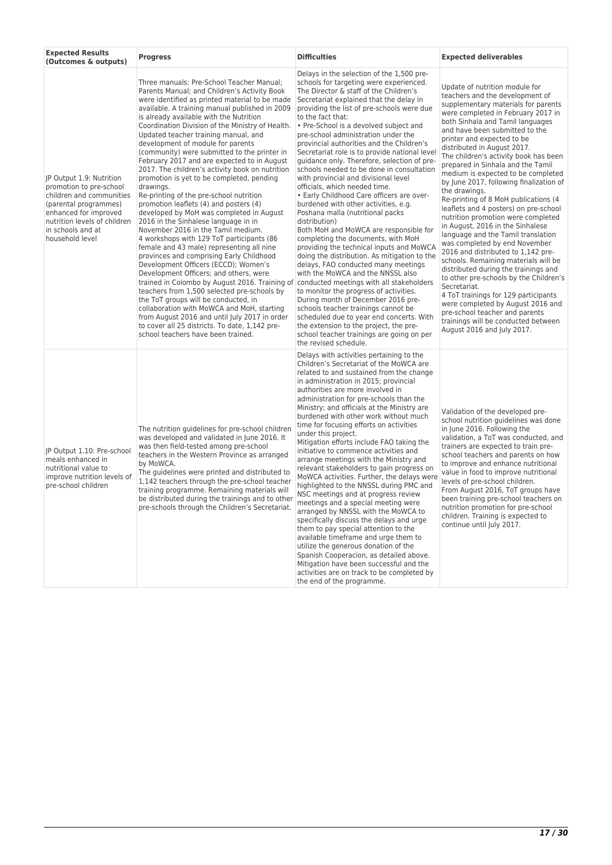| <b>Expected Results</b><br>(Outcomes & outputs)                                                                                                                                                           | <b>Progress</b>                                                                                                                                                                                                                                                                                                                                                                                                                                                                                                                                                                                                                                                                                                                                                                                                                                                                                                                                                                                                                                                                                                                                                                                                                                                                                                                                                                                       | <b>Difficulties</b>                                                                                                                                                                                                                                                                                                                                                                                                                                                                                                                                                                                                                                                                                                                                                                                                                                                                                                                                                                                                                                                                                                                                                                                                                                                                    | <b>Expected deliverables</b>                                                                                                                                                                                                                                                                                                                                                                                                                                                                                                                                                                                                                                                                                                                                                                                                                                                                                                                                                                                                                                            |
|-----------------------------------------------------------------------------------------------------------------------------------------------------------------------------------------------------------|-------------------------------------------------------------------------------------------------------------------------------------------------------------------------------------------------------------------------------------------------------------------------------------------------------------------------------------------------------------------------------------------------------------------------------------------------------------------------------------------------------------------------------------------------------------------------------------------------------------------------------------------------------------------------------------------------------------------------------------------------------------------------------------------------------------------------------------------------------------------------------------------------------------------------------------------------------------------------------------------------------------------------------------------------------------------------------------------------------------------------------------------------------------------------------------------------------------------------------------------------------------------------------------------------------------------------------------------------------------------------------------------------------|----------------------------------------------------------------------------------------------------------------------------------------------------------------------------------------------------------------------------------------------------------------------------------------------------------------------------------------------------------------------------------------------------------------------------------------------------------------------------------------------------------------------------------------------------------------------------------------------------------------------------------------------------------------------------------------------------------------------------------------------------------------------------------------------------------------------------------------------------------------------------------------------------------------------------------------------------------------------------------------------------------------------------------------------------------------------------------------------------------------------------------------------------------------------------------------------------------------------------------------------------------------------------------------|-------------------------------------------------------------------------------------------------------------------------------------------------------------------------------------------------------------------------------------------------------------------------------------------------------------------------------------------------------------------------------------------------------------------------------------------------------------------------------------------------------------------------------------------------------------------------------------------------------------------------------------------------------------------------------------------------------------------------------------------------------------------------------------------------------------------------------------------------------------------------------------------------------------------------------------------------------------------------------------------------------------------------------------------------------------------------|
| JP Output 1.9: Nutrition<br>promotion to pre-school<br>children and communities<br>(parental programmes)<br>enhanced for improved<br>nutrition levels of children<br>in schools and at<br>household level | Three manuals: Pre-School Teacher Manual;<br>Parents Manual; and Children's Activity Book<br>were identified as printed material to be made<br>available. A training manual published in 2009<br>is already available with the Nutrition<br>Coordination Division of the Ministry of Health.<br>Updated teacher training manual, and<br>development of module for parents<br>(community) were submitted to the printer in<br>February 2017 and are expected to in August<br>2017. The children's activity book on nutrition<br>promotion is yet to be completed, pending<br>drawings.<br>Re-printing of the pre-school nutrition<br>promotion leaflets (4) and posters (4)<br>developed by MoH was completed in August<br>2016 in the Sinhalese language in in<br>November 2016 in the Tamil medium.<br>4 workshops with 129 ToT participants (86<br>female and 43 male) representing all nine<br>provinces and comprising Early Childhood<br>Development Officers (ECCD); Women's<br>Development Officers; and others, were<br>trained in Colombo by August 2016. Training of conducted meetings with all stakeholders<br>teachers from 1,500 selected pre-schools by<br>the ToT groups will be conducted, in<br>collaboration with MoWCA and MoH, starting<br>from August 2016 and until July 2017 in order<br>to cover all 25 districts. To date, 1,142 pre-<br>school teachers have been trained. | Delays in the selection of the 1,500 pre-<br>schools for targeting were experienced.<br>The Director & staff of the Children's<br>Secretariat explained that the delay in<br>providing the list of pre-schools were due<br>to the fact that:<br>• Pre-School is a devolved subject and<br>pre-school administration under the<br>provincial authorities and the Children's<br>Secretariat role is to provide national level<br>guidance only. Therefore, selection of pre-<br>schools needed to be done in consultation<br>with provincial and divisional level<br>officials, which needed time.<br>• Early Childhood Care officers are over-<br>burdened with other activities, e.g.<br>Poshana malla (nutritional packs)<br>distribution)<br>Both MoH and MoWCA are responsible for<br>completing the documents, with MoH<br>providing the technical inputs and MoWCA<br>doing the distribution. As mitigation to the<br>delays, FAO conducted many meetings<br>with the MoWCA and the NNSSL also<br>to monitor the progress of activities.<br>During month of December 2016 pre-<br>schools teacher trainings cannot be<br>scheduled due to year end concerts. With<br>the extension to the project, the pre-<br>school teacher trainings are going on per<br>the revised schedule. | Update of nutrition module for<br>teachers and the development of<br>supplementary materials for parents<br>were completed in February 2017 in<br>both Sinhala and Tamil languages<br>and have been submitted to the<br>printer and expected to be<br>distributed in August 2017.<br>The children's activity book has been<br>prepared in Sinhala and the Tamil<br>medium is expected to be completed<br>by June 2017, following finalization of<br>the drawings.<br>Re-printing of 8 MoH publications (4<br>leaflets and 4 posters) on pre-school<br>nutrition promotion were completed<br>in August, 2016 in the Sinhalese<br>language and the Tamil translation<br>was completed by end November<br>2016 and distributed to 1,142 pre-<br>schools. Remaining materials will be<br>distributed during the trainings and<br>to other pre-schools by the Children's<br>Secretariat.<br>4 ToT trainings for 129 participants<br>were completed by August 2016 and<br>pre-school teacher and parents<br>trainings will be conducted between<br>August 2016 and July 2017. |
| JP Output 1.10: Pre-school<br>meals enhanced in<br>nutritional value to<br>improve nutrition levels of<br>pre-school children                                                                             | The nutrition guidelines for pre-school children<br>was developed and validated in June 2016. It<br>was then field-tested among pre-school<br>teachers in the Western Province as arranged<br>by MoWCA.<br>The guidelines were printed and distributed to<br>1,142 teachers through the pre-school teacher<br>training programme. Remaining materials will<br>be distributed during the trainings and to other<br>pre-schools through the Children's Secretariat.                                                                                                                                                                                                                                                                                                                                                                                                                                                                                                                                                                                                                                                                                                                                                                                                                                                                                                                                     | Delays with activities pertaining to the<br>Children's Secretariat of the MoWCA are<br>related to and sustained from the change<br>in administration in 2015; provincial<br>authorities are more involved in<br>administration for pre-schools than the<br>Ministry; and officials at the Ministry are<br>burdened with other work without much<br>time for focusing efforts on activities<br>under this project.<br>Mitigation efforts include FAO taking the<br>initiative to commence activities and<br>arrange meetings with the Ministry and<br>relevant stakeholders to gain progress on<br>MoWCA activities. Further, the delays were<br>highlighted to the NNSSL during PMC and<br>NSC meetings and at progress review<br>meetings and a special meeting were<br>arranged by NNSSL with the MoWCA to<br>specifically discuss the delays and urge<br>them to pay special attention to the<br>available timeframe and urge them to<br>utilize the generous donation of the<br>Spanish Cooperacion, as detailed above.<br>Mitigation have been successful and the<br>activities are on track to be completed by<br>the end of the programme.                                                                                                                                      | Validation of the developed pre-<br>school nutrition guidelines was done<br>in June 2016. Following the<br>validation, a ToT was conducted, and<br>trainers are expected to train pre-<br>school teachers and parents on how<br>to improve and enhance nutritional<br>value in food to improve nutritional<br>levels of pre-school children.<br>From August 2016, ToT groups have<br>been training pre-school teachers on<br>nutrition promotion for pre-school<br>children. Training is expected to<br>continue until July 2017.                                                                                                                                                                                                                                                                                                                                                                                                                                                                                                                                       |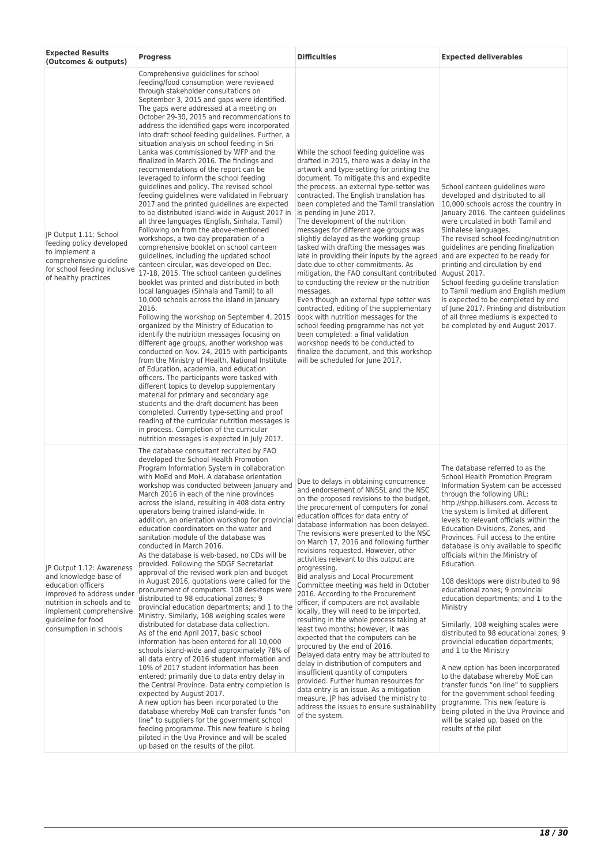| <b>Expected Results</b><br>(Outcomes & outputs)                                                                                                                                                                 | <b>Progress</b>                                                                                                                                                                                                                                                                                                                                                                                                                                                                                                                                                                                                                                                                                                                                                                                                                                                                                                                                                                                                                                                                                                                                                                                                                                                                                                                                                                                                                                                                                                                                                                                                                                                                                                                                                                                                                                                                                                                                                                         | <b>Difficulties</b>                                                                                                                                                                                                                                                                                                                                                                                                                                                                                                                                                                                                                                                                                                                                                                                                                                                                                                                                                                                                                                                                                                                       | <b>Expected deliverables</b>                                                                                                                                                                                                                                                                                                                                                                                                                                                                                                                                                                                                                                                                                                                                                                                                                                                                                                                                                                                    |
|-----------------------------------------------------------------------------------------------------------------------------------------------------------------------------------------------------------------|-----------------------------------------------------------------------------------------------------------------------------------------------------------------------------------------------------------------------------------------------------------------------------------------------------------------------------------------------------------------------------------------------------------------------------------------------------------------------------------------------------------------------------------------------------------------------------------------------------------------------------------------------------------------------------------------------------------------------------------------------------------------------------------------------------------------------------------------------------------------------------------------------------------------------------------------------------------------------------------------------------------------------------------------------------------------------------------------------------------------------------------------------------------------------------------------------------------------------------------------------------------------------------------------------------------------------------------------------------------------------------------------------------------------------------------------------------------------------------------------------------------------------------------------------------------------------------------------------------------------------------------------------------------------------------------------------------------------------------------------------------------------------------------------------------------------------------------------------------------------------------------------------------------------------------------------------------------------------------------------|-------------------------------------------------------------------------------------------------------------------------------------------------------------------------------------------------------------------------------------------------------------------------------------------------------------------------------------------------------------------------------------------------------------------------------------------------------------------------------------------------------------------------------------------------------------------------------------------------------------------------------------------------------------------------------------------------------------------------------------------------------------------------------------------------------------------------------------------------------------------------------------------------------------------------------------------------------------------------------------------------------------------------------------------------------------------------------------------------------------------------------------------|-----------------------------------------------------------------------------------------------------------------------------------------------------------------------------------------------------------------------------------------------------------------------------------------------------------------------------------------------------------------------------------------------------------------------------------------------------------------------------------------------------------------------------------------------------------------------------------------------------------------------------------------------------------------------------------------------------------------------------------------------------------------------------------------------------------------------------------------------------------------------------------------------------------------------------------------------------------------------------------------------------------------|
| JP Output 1.11: School<br>feeding policy developed<br>to implement a<br>comprehensive quideline<br>for school feeding inclusive<br>of healthy practices                                                         | Comprehensive guidelines for school<br>feeding/food consumption were reviewed<br>through stakeholder consultations on<br>September 3, 2015 and gaps were identified.<br>The gaps were addressed at a meeting on<br>October 29-30, 2015 and recommendations to<br>address the identified gaps were incorporated<br>into draft school feeding guidelines. Further, a<br>situation analysis on school feeding in Sri<br>Lanka was commissioned by WFP and the<br>finalized in March 2016. The findings and<br>recommendations of the report can be<br>leveraged to inform the school feeding<br>guidelines and policy. The revised school<br>feeding quidelines were validated in February<br>2017 and the printed guidelines are expected<br>to be distributed island-wide in August 2017 in<br>all three languages (English, Sinhala, Tamil)<br>Following on from the above-mentioned<br>workshops, a two-day preparation of a<br>comprehensive booklet on school canteen<br>guidelines, including the updated school<br>canteen circular, was developed on Dec.<br>17-18, 2015. The school canteen guidelines<br>booklet was printed and distributed in both<br>local languages (Sinhala and Tamil) to all<br>10,000 schools across the island in January<br>2016.<br>Following the workshop on September 4, 2015<br>organized by the Ministry of Education to<br>identify the nutrition messages focusing on<br>different age groups, another workshop was<br>conducted on Nov. 24, 2015 with participants<br>from the Ministry of Health, National Institute<br>of Education, academia, and education<br>officers. The participants were tasked with<br>different topics to develop supplementary<br>material for primary and secondary age<br>students and the draft document has been<br>completed. Currently type-setting and proof<br>reading of the curricular nutrition messages is<br>in process. Completion of the curricular<br>nutrition messages is expected in July 2017. | While the school feeding guideline was<br>drafted in 2015, there was a delay in the<br>artwork and type-setting for printing the<br>document. To mitigate this and expedite<br>the process, an external type-setter was<br>contracted. The English translation has<br>been completed and the Tamil translation<br>is pending in June 2017.<br>The development of the nutrition<br>messages for different age groups was<br>slightly delayed as the working group<br>tasked with drafting the messages was<br>late in providing their inputs by the agreed<br>date due to other commitments. As<br>mitigation, the FAO consultant contributed<br>to conducting the review or the nutrition<br>messages.<br>Even though an external type setter was<br>contracted, editing of the supplementary<br>book with nutrition messages for the<br>school feeding programme has not yet<br>been completed: a final validation<br>workshop needs to be conducted to<br>finalize the document, and this workshop<br>will be scheduled for June 2017.                                                                                                  | School canteen quidelines were<br>developed and distributed to all<br>10,000 schools across the country in<br>January 2016. The canteen guidelines<br>were circulated in both Tamil and<br>Sinhalese languages.<br>The revised school feeding/nutrition<br>quidelines are pending finalization<br>and are expected to be ready for<br>printing and circulation by end<br>August 2017.<br>School feeding guideline translation<br>to Tamil medium and English medium<br>is expected to be completed by end<br>of June 2017. Printing and distribution<br>of all three mediums is expected to<br>be completed by end August 2017.                                                                                                                                                                                                                                                                                                                                                                                 |
| JP Output 1.12: Awareness<br>and knowledge base of<br>education officers<br>improved to address under<br>nutrition in schools and to<br>implement comprehensive<br>quideline for food<br>consumption in schools | The database consultant recruited by FAO<br>developed the School Health Promotion<br>Program Information System in collaboration<br>with MoEd and MoH. A database orientation<br>workshop was conducted between January and<br>March 2016 in each of the nine provinces<br>across the island, resulting in 408 data entry<br>operators being trained island-wide. In<br>addition, an orientation workshop for provincial<br>education coordinators on the water and<br>sanitation module of the database was<br>conducted in March 2016.<br>As the database is web-based, no CDs will be<br>provided. Following the SDGF Secretariat<br>approval of the revised work plan and budget<br>in August 2016, quotations were called for the<br>procurement of computers. 108 desktops were<br>distributed to 98 educational zones; 9<br>provincial education departments; and 1 to the<br>Ministry. Similarly, 108 weighing scales were<br>distributed for database data collection.<br>As of the end April 2017, basic school<br>information has been entered for all 10,000<br>schools island-wide and approximately 78% of<br>all data entry of 2016 student information and<br>10% of 2017 student information has been<br>entered; primarily due to data entry delay in<br>the Central Province. Data entry completion is<br>expected by August 2017.<br>A new option has been incorporated to the<br>database whereby MoE can transfer funds "on<br>line" to suppliers for the government school<br>feeding programme. This new feature is being<br>piloted in the Uva Province and will be scaled<br>up based on the results of the pilot.                                                                                                                                                                                                                                                                                                                                            | Due to delays in obtaining concurrence<br>and endorsement of NNSSL and the NSC<br>on the proposed revisions to the budget,<br>the procurement of computers for zonal<br>education offices for data entry of<br>database information has been delayed.<br>The revisions were presented to the NSC<br>on March 17, 2016 and following further<br>revisions requested. However, other<br>activities relevant to this output are<br>progressing.<br>Bid analysis and Local Procurement<br>Committee meeting was held in October<br>2016. According to the Procurement<br>officer, if computers are not available<br>locally, they will need to be imported,<br>resulting in the whole process taking at<br>least two months; however, it was<br>expected that the computers can be<br>procured by the end of 2016.<br>Delayed data entry may be attributed to<br>delay in distribution of computers and<br>insufficient quantity of computers<br>provided. Further human resources for<br>data entry is an issue. As a mitigation<br>measure, JP has advised the ministry to<br>address the issues to ensure sustainability<br>of the system. | The database referred to as the<br>School Health Promotion Program<br>Information System can be accessed<br>through the following URL:<br>http://shpp.billusers.com. Access to<br>the system is limited at different<br>levels to relevant officials within the<br>Education Divisions, Zones, and<br>Provinces. Full access to the entire<br>database is only available to specific<br>officials within the Ministry of<br>Education.<br>108 desktops were distributed to 98<br>educational zones; 9 provincial<br>education departments; and 1 to the<br>Ministry<br>Similarly, 108 weighing scales were<br>distributed to 98 educational zones: 9<br>provincial education departments;<br>and 1 to the Ministry<br>A new option has been incorporated<br>to the database whereby MoE can<br>transfer funds "on line" to suppliers<br>for the government school feeding<br>programme. This new feature is<br>being piloted in the Uva Province and<br>will be scaled up, based on the<br>results of the pilot |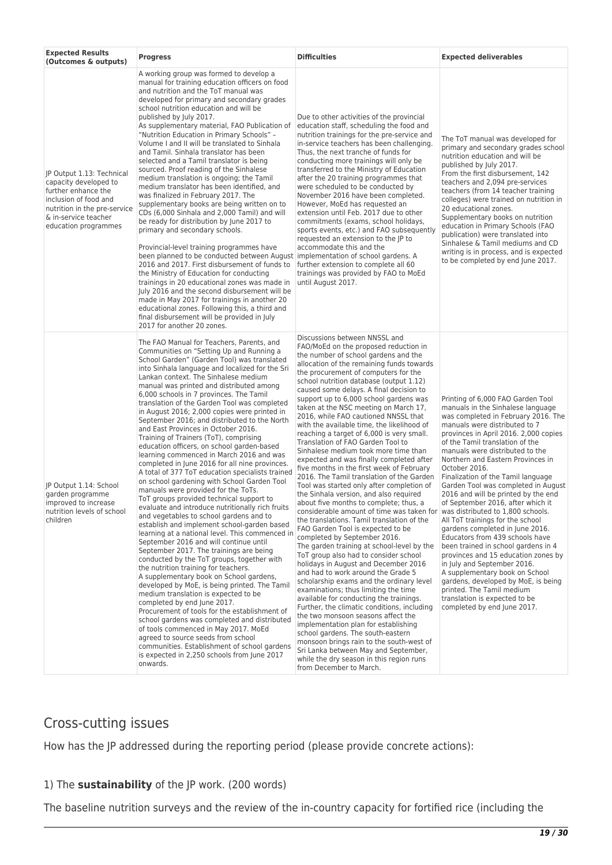| <b>Expected Results</b><br>(Outcomes & outputs)                                                                                                                                    | <b>Progress</b>                                                                                                                                                                                                                                                                                                                                                                                                                                                                                                                                                                                                                                                                                                                                                                                                                                                                                                                                                                                                                                                                                                                                                                                                                                                                                                                                                                                                                                                                                                                                                                                                                                                                                                                    | <b>Difficulties</b>                                                                                                                                                                                                                                                                                                                                                                                                                                                                                                                                                                                                                                                                                                                                                                                                                                                                                                                                                                                                                                                                                                                                                                                                                                                                                                                                                                                                                                                                                                                                                                                                                                                                                    | <b>Expected deliverables</b>                                                                                                                                                                                                                                                                                                                                                                                                                                                                                                                                                                                                                                                                                                                                                                                                                                              |
|------------------------------------------------------------------------------------------------------------------------------------------------------------------------------------|------------------------------------------------------------------------------------------------------------------------------------------------------------------------------------------------------------------------------------------------------------------------------------------------------------------------------------------------------------------------------------------------------------------------------------------------------------------------------------------------------------------------------------------------------------------------------------------------------------------------------------------------------------------------------------------------------------------------------------------------------------------------------------------------------------------------------------------------------------------------------------------------------------------------------------------------------------------------------------------------------------------------------------------------------------------------------------------------------------------------------------------------------------------------------------------------------------------------------------------------------------------------------------------------------------------------------------------------------------------------------------------------------------------------------------------------------------------------------------------------------------------------------------------------------------------------------------------------------------------------------------------------------------------------------------------------------------------------------------|--------------------------------------------------------------------------------------------------------------------------------------------------------------------------------------------------------------------------------------------------------------------------------------------------------------------------------------------------------------------------------------------------------------------------------------------------------------------------------------------------------------------------------------------------------------------------------------------------------------------------------------------------------------------------------------------------------------------------------------------------------------------------------------------------------------------------------------------------------------------------------------------------------------------------------------------------------------------------------------------------------------------------------------------------------------------------------------------------------------------------------------------------------------------------------------------------------------------------------------------------------------------------------------------------------------------------------------------------------------------------------------------------------------------------------------------------------------------------------------------------------------------------------------------------------------------------------------------------------------------------------------------------------------------------------------------------------|---------------------------------------------------------------------------------------------------------------------------------------------------------------------------------------------------------------------------------------------------------------------------------------------------------------------------------------------------------------------------------------------------------------------------------------------------------------------------------------------------------------------------------------------------------------------------------------------------------------------------------------------------------------------------------------------------------------------------------------------------------------------------------------------------------------------------------------------------------------------------|
| JP Output 1.13: Technical<br>capacity developed to<br>further enhance the<br>inclusion of food and<br>nutrition in the pre-service<br>& in-service teacher<br>education programmes | A working group was formed to develop a<br>manual for training education officers on food<br>and nutrition and the ToT manual was<br>developed for primary and secondary grades<br>school nutrition education and will be<br>published by July 2017.<br>As supplementary material, FAO Publication of<br>"Nutrition Education in Primary Schools" -<br>Volume I and II will be translated to Sinhala<br>and Tamil. Sinhala translator has been<br>selected and a Tamil translator is being<br>sourced. Proof reading of the Sinhalese<br>medium translation is ongoing; the Tamil<br>medium translator has been identified, and<br>was finalized in February 2017. The<br>supplementary books are being written on to<br>CDs (6,000 Sinhala and 2,000 Tamil) and will<br>be ready for distribution by June 2017 to<br>primary and secondary schools.<br>Provincial-level training programmes have<br>been planned to be conducted between August implementation of school gardens. A<br>2016 and 2017. First disbursement of funds to<br>the Ministry of Education for conducting<br>trainings in 20 educational zones was made in<br>July 2016 and the second disbursement will be<br>made in May 2017 for trainings in another 20<br>educational zones. Following this, a third and<br>final disbursement will be provided in July<br>2017 for another 20 zones.                                                                                                                                                                                                                                                                                                                                                                 | Due to other activities of the provincial<br>education staff, scheduling the food and<br>nutrition trainings for the pre-service and<br>in-service teachers has been challenging.<br>Thus, the next tranche of funds for<br>conducting more trainings will only be<br>transferred to the Ministry of Education<br>after the 20 training programmes that<br>were scheduled to be conducted by<br>November 2016 have been completed.<br>However, MoEd has requested an<br>extension until Feb. 2017 due to other<br>commitments (exams, school holidays,<br>sports events, etc.) and FAO subsequently<br>requested an extension to the JP to<br>accommodate this and the<br>further extension to complete all 60<br>trainings was provided by FAO to MoEd<br>until August 2017.                                                                                                                                                                                                                                                                                                                                                                                                                                                                                                                                                                                                                                                                                                                                                                                                                                                                                                                          | The ToT manual was developed for<br>primary and secondary grades school<br>nutrition education and will be<br>published by July 2017.<br>From the first disbursement, 142<br>teachers and 2,094 pre-services<br>teachers (from 14 teacher training<br>colleges) were trained on nutrition in<br>20 educational zones.<br>Supplementary books on nutrition<br>education in Primary Schools (FAO<br>publication) were translated into<br>Sinhalese & Tamil mediums and CD<br>writing is in process, and is expected<br>to be completed by end June 2017.                                                                                                                                                                                                                                                                                                                    |
| JP Output 1.14: School<br>garden programme<br>improved to increase<br>nutrition levels of school<br>children                                                                       | The FAO Manual for Teachers, Parents, and<br>Communities on "Setting Up and Running a<br>School Garden" (Garden Tool) was translated<br>into Sinhala language and localized for the Sri<br>Lankan context. The Sinhalese medium<br>manual was printed and distributed among<br>6,000 schools in 7 provinces. The Tamil<br>translation of the Garden Tool was completed<br>in August 2016; 2,000 copies were printed in<br>September 2016; and distributed to the North<br>and East Provinces in October 2016.<br>Training of Trainers (ToT), comprising<br>education officers, on school garden-based<br>learning commenced in March 2016 and was<br>completed in June 2016 for all nine provinces.<br>A total of 377 ToT education specialists trained<br>on school gardening with School Garden Tool<br>manuals were provided for the ToTs.<br>ToT groups provided technical support to<br>evaluate and introduce nutritionally rich fruits<br>and vegetables to school gardens and to<br>establish and implement school-garden based<br>learning at a national level. This commenced in<br>September 2016 and will continue until<br>September 2017. The trainings are being<br>conducted by the ToT groups, together with<br>the nutrition training for teachers.<br>A supplementary book on School gardens,<br>developed by MoE, is being printed. The Tamil<br>medium translation is expected to be<br>completed by end June 2017.<br>Procurement of tools for the establishment of<br>school gardens was completed and distributed<br>of tools commenced in May 2017. MoEd<br>agreed to source seeds from school<br>communities. Establishment of school gardens<br>is expected in 2,250 schools from June 2017<br>onwards. | Discussions between NNSSL and<br>FAO/MoEd on the proposed reduction in<br>the number of school gardens and the<br>allocation of the remaining funds towards<br>the procurement of computers for the<br>school nutrition database (output 1.12)<br>caused some delays. A final decision to<br>support up to 6,000 school gardens was<br>taken at the NSC meeting on March 17,<br>2016, while FAO cautioned NNSSL that<br>with the available time, the likelihood of<br>reaching a target of 6,000 is very small.<br>Translation of FAO Garden Tool to<br>Sinhalese medium took more time than<br>expected and was finally completed after<br>five months in the first week of February<br>2016. The Tamil translation of the Garden<br>Tool was started only after completion of<br>the Sinhala version, and also required<br>about five months to complete; thus, a<br>considerable amount of time was taken for was distributed to 1,800 schools.<br>the translations. Tamil translation of the<br>FAO Garden Tool is expected to be<br>completed by September 2016.<br>The garden training at school-level by the<br>ToT group also had to consider school<br>holidays in August and December 2016<br>and had to work around the Grade 5<br>scholarship exams and the ordinary level<br>examinations; thus limiting the time<br>available for conducting the trainings.<br>Further, the climatic conditions, including<br>the two monsoon seasons affect the<br>implementation plan for establishing<br>school gardens. The south-eastern<br>monsoon brings rain to the south-west of<br>Sri Lanka between May and September,<br>while the dry season in this region runs<br>from December to March. | Printing of 6,000 FAO Garden Tool<br>manuals in the Sinhalese language<br>was completed in February 2016. The<br>manuals were distributed to 7<br>provinces in April 2016. 2,000 copies<br>of the Tamil translation of the<br>manuals were distributed to the<br>Northern and Eastern Provinces in<br>October 2016.<br>Finalization of the Tamil language<br>Garden Tool was completed in August<br>2016 and will be printed by the end<br>of September 2016, after which it<br>All ToT trainings for the school<br>gardens completed in June 2016.<br>Educators from 439 schools have<br>been trained in school gardens in 4<br>provinces and 15 education zones by<br>in July and September 2016.<br>A supplementary book on School<br>gardens, developed by MoE, is being<br>printed. The Tamil medium<br>translation is expected to be<br>completed by end June 2017. |

## Cross-cutting issues

How has the JP addressed during the reporting period (please provide concrete actions):

## 1) The **sustainability** of the JP work. (200 words)

The baseline nutrition surveys and the review of the in-country capacity for fortified rice (including the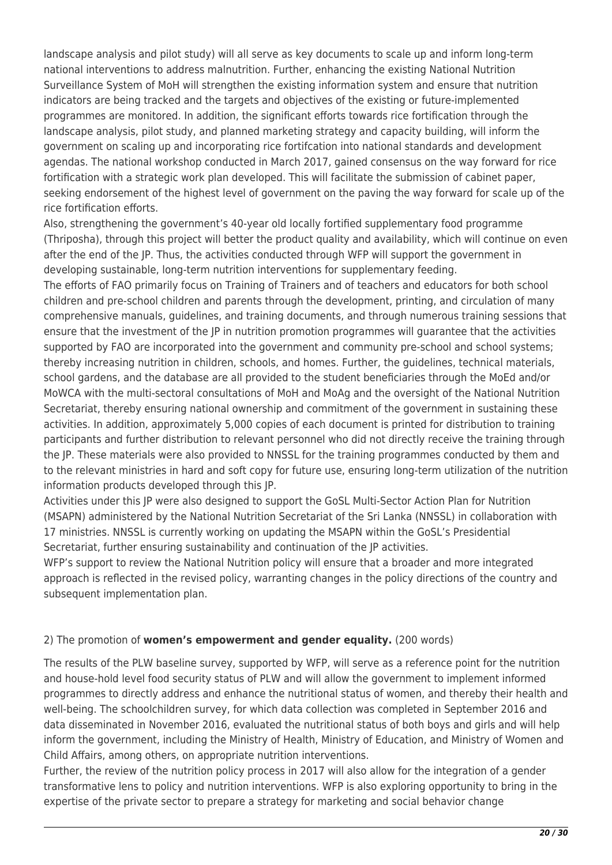landscape analysis and pilot study) will all serve as key documents to scale up and inform long-term national interventions to address malnutrition. Further, enhancing the existing National Nutrition Surveillance System of MoH will strengthen the existing information system and ensure that nutrition indicators are being tracked and the targets and objectives of the existing or future-implemented programmes are monitored. In addition, the significant efforts towards rice fortification through the landscape analysis, pilot study, and planned marketing strategy and capacity building, will inform the government on scaling up and incorporating rice fortifcation into national standards and development agendas. The national workshop conducted in March 2017, gained consensus on the way forward for rice fortification with a strategic work plan developed. This will facilitate the submission of cabinet paper, seeking endorsement of the highest level of government on the paving the way forward for scale up of the rice fortification efforts.

Also, strengthening the government's 40-year old locally fortified supplementary food programme (Thriposha), through this project will better the product quality and availability, which will continue on even after the end of the JP. Thus, the activities conducted through WFP will support the government in developing sustainable, long-term nutrition interventions for supplementary feeding.

The efforts of FAO primarily focus on Training of Trainers and of teachers and educators for both school children and pre-school children and parents through the development, printing, and circulation of many comprehensive manuals, guidelines, and training documents, and through numerous training sessions that ensure that the investment of the JP in nutrition promotion programmes will guarantee that the activities supported by FAO are incorporated into the government and community pre-school and school systems; thereby increasing nutrition in children, schools, and homes. Further, the guidelines, technical materials, school gardens, and the database are all provided to the student beneficiaries through the MoEd and/or MoWCA with the multi-sectoral consultations of MoH and MoAg and the oversight of the National Nutrition Secretariat, thereby ensuring national ownership and commitment of the government in sustaining these activities. In addition, approximately 5,000 copies of each document is printed for distribution to training participants and further distribution to relevant personnel who did not directly receive the training through the JP. These materials were also provided to NNSSL for the training programmes conducted by them and to the relevant ministries in hard and soft copy for future use, ensuring long-term utilization of the nutrition information products developed through this JP.

Activities under this JP were also designed to support the GoSL Multi-Sector Action Plan for Nutrition (MSAPN) administered by the National Nutrition Secretariat of the Sri Lanka (NNSSL) in collaboration with 17 ministries. NNSSL is currently working on updating the MSAPN within the GoSL's Presidential Secretariat, further ensuring sustainability and continuation of the JP activities.

WFP's support to review the National Nutrition policy will ensure that a broader and more integrated approach is reflected in the revised policy, warranting changes in the policy directions of the country and subsequent implementation plan.

## 2) The promotion of **women's empowerment and gender equality.** (200 words)

The results of the PLW baseline survey, supported by WFP, will serve as a reference point for the nutrition and house-hold level food security status of PLW and will allow the government to implement informed programmes to directly address and enhance the nutritional status of women, and thereby their health and well-being. The schoolchildren survey, for which data collection was completed in September 2016 and data disseminated in November 2016, evaluated the nutritional status of both boys and girls and will help inform the government, including the Ministry of Health, Ministry of Education, and Ministry of Women and Child Affairs, among others, on appropriate nutrition interventions.

Further, the review of the nutrition policy process in 2017 will also allow for the integration of a gender transformative lens to policy and nutrition interventions. WFP is also exploring opportunity to bring in the expertise of the private sector to prepare a strategy for marketing and social behavior change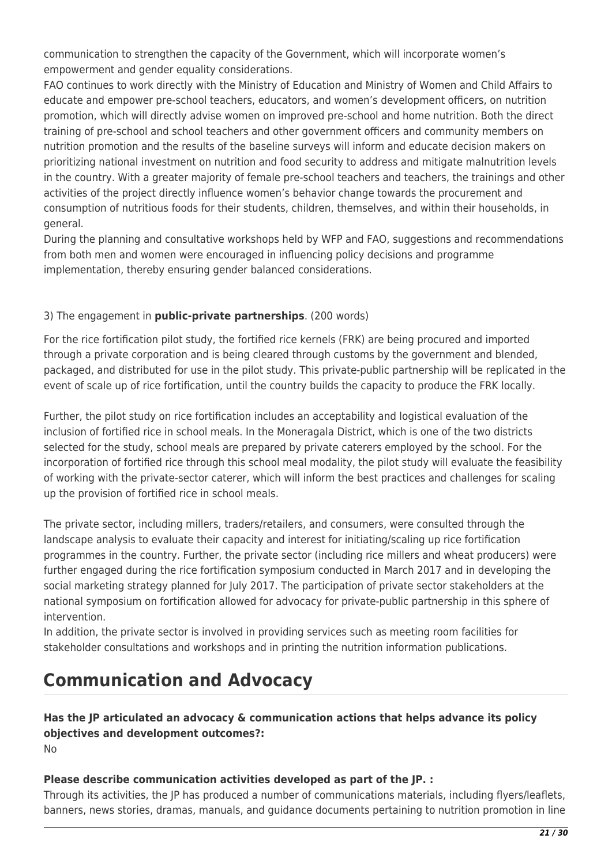communication to strengthen the capacity of the Government, which will incorporate women's empowerment and gender equality considerations.

FAO continues to work directly with the Ministry of Education and Ministry of Women and Child Affairs to educate and empower pre-school teachers, educators, and women's development officers, on nutrition promotion, which will directly advise women on improved pre-school and home nutrition. Both the direct training of pre-school and school teachers and other government officers and community members on nutrition promotion and the results of the baseline surveys will inform and educate decision makers on prioritizing national investment on nutrition and food security to address and mitigate malnutrition levels in the country. With a greater majority of female pre-school teachers and teachers, the trainings and other activities of the project directly influence women's behavior change towards the procurement and consumption of nutritious foods for their students, children, themselves, and within their households, in general.

During the planning and consultative workshops held by WFP and FAO, suggestions and recommendations from both men and women were encouraged in influencing policy decisions and programme implementation, thereby ensuring gender balanced considerations.

## 3) The engagement in **public-private partnerships**. (200 words)

For the rice fortification pilot study, the fortified rice kernels (FRK) are being procured and imported through a private corporation and is being cleared through customs by the government and blended, packaged, and distributed for use in the pilot study. This private-public partnership will be replicated in the event of scale up of rice fortification, until the country builds the capacity to produce the FRK locally.

Further, the pilot study on rice fortification includes an acceptability and logistical evaluation of the inclusion of fortified rice in school meals. In the Moneragala District, which is one of the two districts selected for the study, school meals are prepared by private caterers employed by the school. For the incorporation of fortified rice through this school meal modality, the pilot study will evaluate the feasibility of working with the private-sector caterer, which will inform the best practices and challenges for scaling up the provision of fortified rice in school meals.

The private sector, including millers, traders/retailers, and consumers, were consulted through the landscape analysis to evaluate their capacity and interest for initiating/scaling up rice fortification programmes in the country. Further, the private sector (including rice millers and wheat producers) were further engaged during the rice fortification symposium conducted in March 2017 and in developing the social marketing strategy planned for July 2017. The participation of private sector stakeholders at the national symposium on fortification allowed for advocacy for private-public partnership in this sphere of intervention.

In addition, the private sector is involved in providing services such as meeting room facilities for stakeholder consultations and workshops and in printing the nutrition information publications.

# **Communication and Advocacy**

## **Has the JP articulated an advocacy & communication actions that helps advance its policy objectives and development outcomes?:**

No

## **Please describe communication activities developed as part of the JP. :**

Through its activities, the JP has produced a number of communications materials, including flyers/leaflets, banners, news stories, dramas, manuals, and guidance documents pertaining to nutrition promotion in line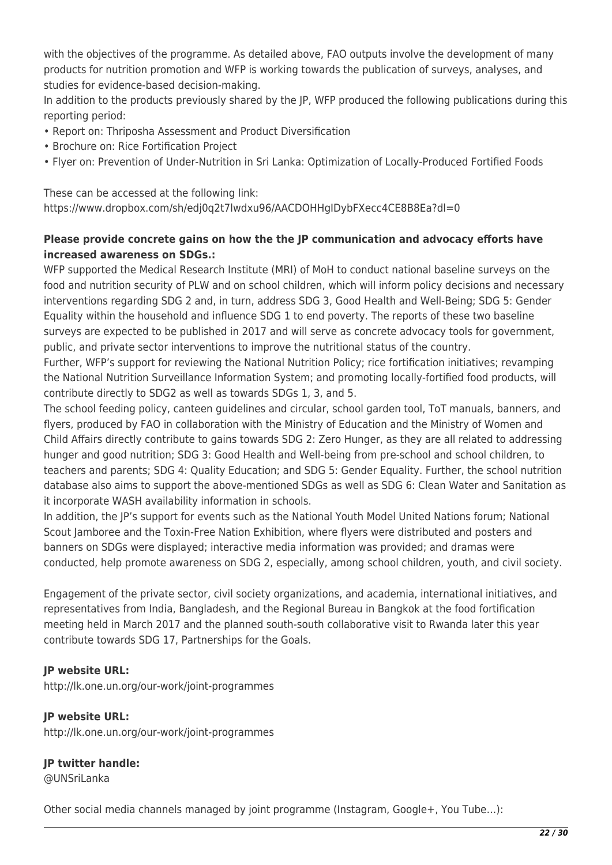with the objectives of the programme. As detailed above, FAO outputs involve the development of many products for nutrition promotion and WFP is working towards the publication of surveys, analyses, and studies for evidence-based decision-making.

In addition to the products previously shared by the JP, WFP produced the following publications during this reporting period:

- Report on: Thriposha Assessment and Product Diversification
- Brochure on: Rice Fortification Project
- Flyer on: Prevention of Under-Nutrition in Sri Lanka: Optimization of Locally-Produced Fortified Foods

These can be accessed at the following link: https://www.dropbox.com/sh/edj0q2t7lwdxu96/AACDOHHgIDybFXecc4CE8B8Ea?dl=0

## **Please provide concrete gains on how the the JP communication and advocacy efforts have increased awareness on SDGs.:**

WFP supported the Medical Research Institute (MRI) of MoH to conduct national baseline surveys on the food and nutrition security of PLW and on school children, which will inform policy decisions and necessary interventions regarding SDG 2 and, in turn, address SDG 3, Good Health and Well-Being; SDG 5: Gender Equality within the household and influence SDG 1 to end poverty. The reports of these two baseline surveys are expected to be published in 2017 and will serve as concrete advocacy tools for government, public, and private sector interventions to improve the nutritional status of the country.

Further, WFP's support for reviewing the National Nutrition Policy; rice fortification initiatives; revamping the National Nutrition Surveillance Information System; and promoting locally-fortified food products, will contribute directly to SDG2 as well as towards SDGs 1, 3, and 5.

The school feeding policy, canteen guidelines and circular, school garden tool, ToT manuals, banners, and flyers, produced by FAO in collaboration with the Ministry of Education and the Ministry of Women and Child Affairs directly contribute to gains towards SDG 2: Zero Hunger, as they are all related to addressing hunger and good nutrition; SDG 3: Good Health and Well-being from pre-school and school children, to teachers and parents; SDG 4: Quality Education; and SDG 5: Gender Equality. Further, the school nutrition database also aims to support the above-mentioned SDGs as well as SDG 6: Clean Water and Sanitation as it incorporate WASH availability information in schools.

In addition, the JP's support for events such as the National Youth Model United Nations forum; National Scout Jamboree and the Toxin-Free Nation Exhibition, where flyers were distributed and posters and banners on SDGs were displayed; interactive media information was provided; and dramas were conducted, help promote awareness on SDG 2, especially, among school children, youth, and civil society.

Engagement of the private sector, civil society organizations, and academia, international initiatives, and representatives from India, Bangladesh, and the Regional Bureau in Bangkok at the food fortification meeting held in March 2017 and the planned south-south collaborative visit to Rwanda later this year contribute towards SDG 17, Partnerships for the Goals.

## **JP website URL:**

http://lk.one.un.org/our-work/joint-programmes

## **JP website URL:**

http://lk.one.un.org/our-work/joint-programmes

## **JP twitter handle:**

@UNSriLanka

Other social media channels managed by joint programme (Instagram, Google+, You Tube…):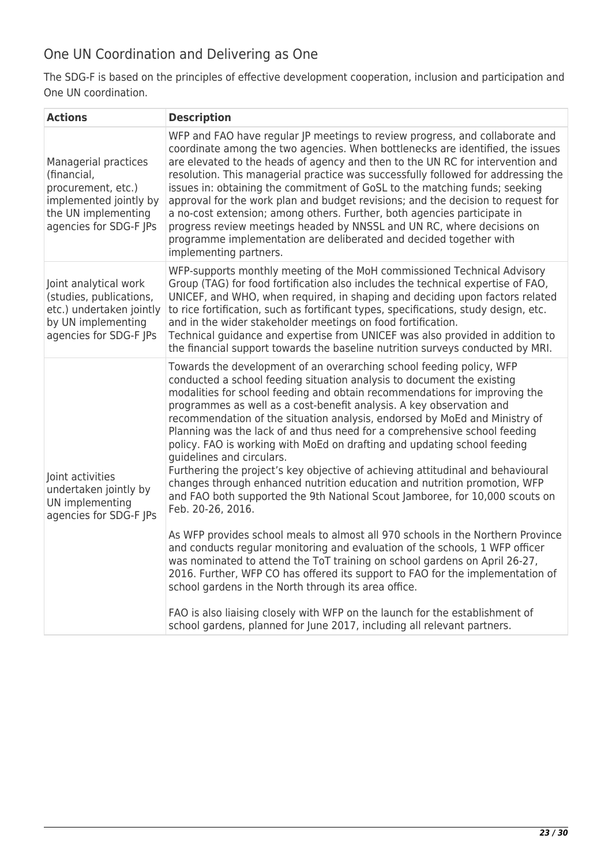## One UN Coordination and Delivering as One

The SDG-F is based on the principles of effective development cooperation, inclusion and participation and One UN coordination.

| <b>Actions</b>                                                                                                                       | <b>Description</b>                                                                                                                                                                                                                                                                                                                                                                                                                                                                                                                                                                                                                                                                                                                                                                                                                                                                                                                                                                                                                                                                                                                                                                                                                                                                                                                                                                                  |
|--------------------------------------------------------------------------------------------------------------------------------------|-----------------------------------------------------------------------------------------------------------------------------------------------------------------------------------------------------------------------------------------------------------------------------------------------------------------------------------------------------------------------------------------------------------------------------------------------------------------------------------------------------------------------------------------------------------------------------------------------------------------------------------------------------------------------------------------------------------------------------------------------------------------------------------------------------------------------------------------------------------------------------------------------------------------------------------------------------------------------------------------------------------------------------------------------------------------------------------------------------------------------------------------------------------------------------------------------------------------------------------------------------------------------------------------------------------------------------------------------------------------------------------------------------|
| Managerial practices<br>(financial,<br>procurement, etc.)<br>implemented jointly by<br>the UN implementing<br>agencies for SDG-F JPs | WFP and FAO have regular JP meetings to review progress, and collaborate and<br>coordinate among the two agencies. When bottlenecks are identified, the issues<br>are elevated to the heads of agency and then to the UN RC for intervention and<br>resolution. This managerial practice was successfully followed for addressing the<br>issues in: obtaining the commitment of GoSL to the matching funds; seeking<br>approval for the work plan and budget revisions; and the decision to request for<br>a no-cost extension; among others. Further, both agencies participate in<br>progress review meetings headed by NNSSL and UN RC, where decisions on<br>programme implementation are deliberated and decided together with<br>implementing partners.                                                                                                                                                                                                                                                                                                                                                                                                                                                                                                                                                                                                                                       |
| Joint analytical work<br>(studies, publications,<br>etc.) undertaken jointly<br>by UN implementing<br>agencies for SDG-F JPs         | WFP-supports monthly meeting of the MoH commissioned Technical Advisory<br>Group (TAG) for food fortification also includes the technical expertise of FAO,<br>UNICEF, and WHO, when required, in shaping and deciding upon factors related<br>to rice fortification, such as fortificant types, specifications, study design, etc.<br>and in the wider stakeholder meetings on food fortification.<br>Technical guidance and expertise from UNICEF was also provided in addition to<br>the financial support towards the baseline nutrition surveys conducted by MRI.                                                                                                                                                                                                                                                                                                                                                                                                                                                                                                                                                                                                                                                                                                                                                                                                                              |
| Joint activities<br>undertaken jointly by<br>UN implementing<br>agencies for SDG-F JPs                                               | Towards the development of an overarching school feeding policy, WFP<br>conducted a school feeding situation analysis to document the existing<br>modalities for school feeding and obtain recommendations for improving the<br>programmes as well as a cost-benefit analysis. A key observation and<br>recommendation of the situation analysis, endorsed by MoEd and Ministry of<br>Planning was the lack of and thus need for a comprehensive school feeding<br>policy. FAO is working with MoEd on drafting and updating school feeding<br>quidelines and circulars.<br>Furthering the project's key objective of achieving attitudinal and behavioural<br>changes through enhanced nutrition education and nutrition promotion, WFP<br>and FAO both supported the 9th National Scout Jamboree, for 10,000 scouts on<br>Feb. 20-26, 2016.<br>As WFP provides school meals to almost all 970 schools in the Northern Province<br>and conducts regular monitoring and evaluation of the schools, 1 WFP officer<br>was nominated to attend the ToT training on school gardens on April 26-27,<br>2016. Further, WFP CO has offered its support to FAO for the implementation of<br>school gardens in the North through its area office.<br>FAO is also liaising closely with WFP on the launch for the establishment of<br>school gardens, planned for June 2017, including all relevant partners. |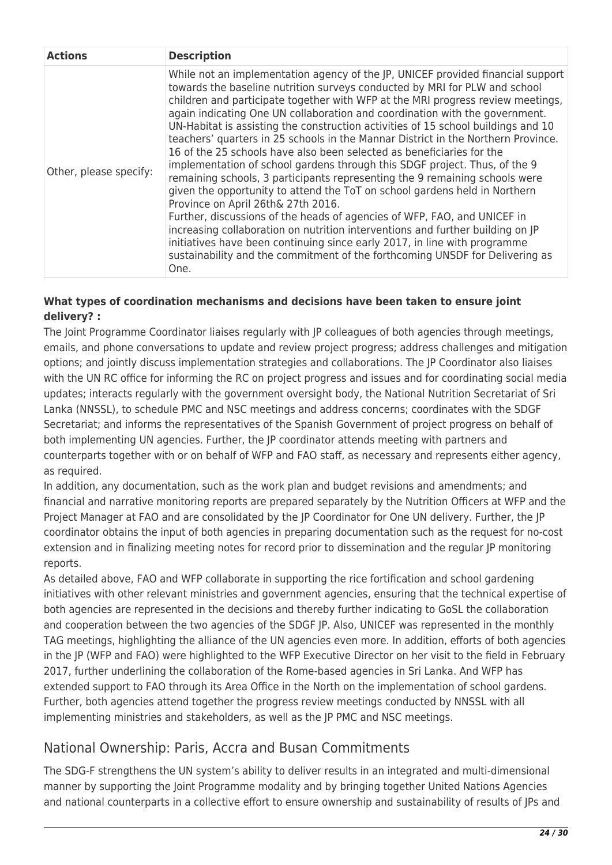| <b>Actions</b>         | <b>Description</b>                                                                                                                                                                                                                                                                                                                                                                                                                                                                                                                                                                                                                                                                                                                                                                                                                                                                                                                                                                                                                                                                                                                                                                                     |
|------------------------|--------------------------------------------------------------------------------------------------------------------------------------------------------------------------------------------------------------------------------------------------------------------------------------------------------------------------------------------------------------------------------------------------------------------------------------------------------------------------------------------------------------------------------------------------------------------------------------------------------------------------------------------------------------------------------------------------------------------------------------------------------------------------------------------------------------------------------------------------------------------------------------------------------------------------------------------------------------------------------------------------------------------------------------------------------------------------------------------------------------------------------------------------------------------------------------------------------|
| Other, please specify: | While not an implementation agency of the JP, UNICEF provided financial support<br>towards the baseline nutrition surveys conducted by MRI for PLW and school<br>children and participate together with WFP at the MRI progress review meetings,<br>again indicating One UN collaboration and coordination with the government.<br>UN-Habitat is assisting the construction activities of 15 school buildings and 10<br>teachers' quarters in 25 schools in the Mannar District in the Northern Province.<br>16 of the 25 schools have also been selected as beneficiaries for the<br>implementation of school gardens through this SDGF project. Thus, of the 9<br>remaining schools, 3 participants representing the 9 remaining schools were<br>given the opportunity to attend the ToT on school gardens held in Northern<br>Province on April 26th& 27th 2016.<br>Further, discussions of the heads of agencies of WFP, FAO, and UNICEF in<br>increasing collaboration on nutrition interventions and further building on JP<br>initiatives have been continuing since early 2017, in line with programme<br>sustainability and the commitment of the forthcoming UNSDF for Delivering as<br>One. |

## **What types of coordination mechanisms and decisions have been taken to ensure joint delivery? :**

The Joint Programme Coordinator liaises regularly with JP colleagues of both agencies through meetings, emails, and phone conversations to update and review project progress; address challenges and mitigation options; and jointly discuss implementation strategies and collaborations. The JP Coordinator also liaises with the UN RC office for informing the RC on project progress and issues and for coordinating social media updates; interacts regularly with the government oversight body, the National Nutrition Secretariat of Sri Lanka (NNSSL), to schedule PMC and NSC meetings and address concerns; coordinates with the SDGF Secretariat; and informs the representatives of the Spanish Government of project progress on behalf of both implementing UN agencies. Further, the JP coordinator attends meeting with partners and counterparts together with or on behalf of WFP and FAO staff, as necessary and represents either agency, as required.

In addition, any documentation, such as the work plan and budget revisions and amendments; and financial and narrative monitoring reports are prepared separately by the Nutrition Officers at WFP and the Project Manager at FAO and are consolidated by the JP Coordinator for One UN delivery. Further, the JP coordinator obtains the input of both agencies in preparing documentation such as the request for no-cost extension and in finalizing meeting notes for record prior to dissemination and the regular JP monitoring reports.

As detailed above, FAO and WFP collaborate in supporting the rice fortification and school gardening initiatives with other relevant ministries and government agencies, ensuring that the technical expertise of both agencies are represented in the decisions and thereby further indicating to GoSL the collaboration and cooperation between the two agencies of the SDGF JP. Also, UNICEF was represented in the monthly TAG meetings, highlighting the alliance of the UN agencies even more. In addition, efforts of both agencies in the JP (WFP and FAO) were highlighted to the WFP Executive Director on her visit to the field in February 2017, further underlining the collaboration of the Rome-based agencies in Sri Lanka. And WFP has extended support to FAO through its Area Office in the North on the implementation of school gardens. Further, both agencies attend together the progress review meetings conducted by NNSSL with all implementing ministries and stakeholders, as well as the JP PMC and NSC meetings.

## National Ownership: Paris, Accra and Busan Commitments

The SDG-F strengthens the UN system's ability to deliver results in an integrated and multi-dimensional manner by supporting the Joint Programme modality and by bringing together United Nations Agencies and national counterparts in a collective effort to ensure ownership and sustainability of results of JPs and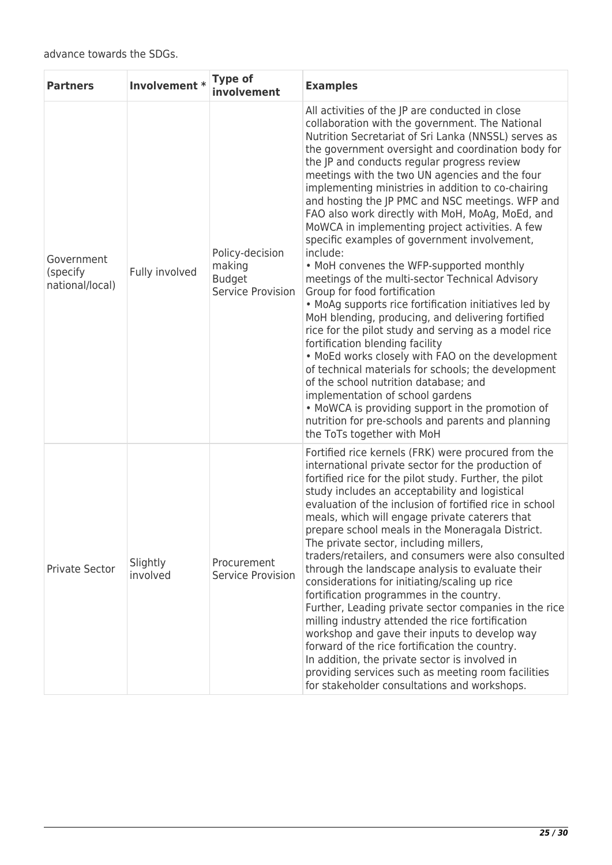| <b>Partners</b>                           | Involvement *        | Type of<br>involvement                                          | <b>Examples</b>                                                                                                                                                                                                                                                                                                                                                                                                                                                                                                                                                                                                                                                                                                                                                                                                                                                                                                                                                                                                                                                                                                                                                                                                                                                        |
|-------------------------------------------|----------------------|-----------------------------------------------------------------|------------------------------------------------------------------------------------------------------------------------------------------------------------------------------------------------------------------------------------------------------------------------------------------------------------------------------------------------------------------------------------------------------------------------------------------------------------------------------------------------------------------------------------------------------------------------------------------------------------------------------------------------------------------------------------------------------------------------------------------------------------------------------------------------------------------------------------------------------------------------------------------------------------------------------------------------------------------------------------------------------------------------------------------------------------------------------------------------------------------------------------------------------------------------------------------------------------------------------------------------------------------------|
| Government<br>(specify<br>national/local) | Fully involved       | Policy-decision<br>making<br><b>Budget</b><br>Service Provision | All activities of the JP are conducted in close<br>collaboration with the government. The National<br>Nutrition Secretariat of Sri Lanka (NNSSL) serves as<br>the government oversight and coordination body for<br>the JP and conducts regular progress review<br>meetings with the two UN agencies and the four<br>implementing ministries in addition to co-chairing<br>and hosting the JP PMC and NSC meetings. WFP and<br>FAO also work directly with MoH, MoAg, MoEd, and<br>MoWCA in implementing project activities. A few<br>specific examples of government involvement,<br>include:<br>• MoH convenes the WFP-supported monthly<br>meetings of the multi-sector Technical Advisory<br>Group for food fortification<br>• MoAg supports rice fortification initiatives led by<br>MoH blending, producing, and delivering fortified<br>rice for the pilot study and serving as a model rice<br>fortification blending facility<br>. MoEd works closely with FAO on the development<br>of technical materials for schools; the development<br>of the school nutrition database; and<br>implementation of school gardens<br>• MoWCA is providing support in the promotion of<br>nutrition for pre-schools and parents and planning<br>the ToTs together with MoH |
| Private Sector                            | Slightly<br>involved | Procurement<br>Service Provision                                | Fortified rice kernels (FRK) were procured from the<br>international private sector for the production of<br>fortified rice for the pilot study. Further, the pilot<br>study includes an acceptability and logistical<br>evaluation of the inclusion of fortified rice in school<br>meals, which will engage private caterers that<br>prepare school meals in the Moneragala District.<br>The private sector, including millers,<br>traders/retailers, and consumers were also consulted<br>through the landscape analysis to evaluate their<br>considerations for initiating/scaling up rice<br>fortification programmes in the country.<br>Further, Leading private sector companies in the rice<br>milling industry attended the rice fortification<br>workshop and gave their inputs to develop way<br>forward of the rice fortification the country.<br>In addition, the private sector is involved in<br>providing services such as meeting room facilities<br>for stakeholder consultations and workshops.                                                                                                                                                                                                                                                      |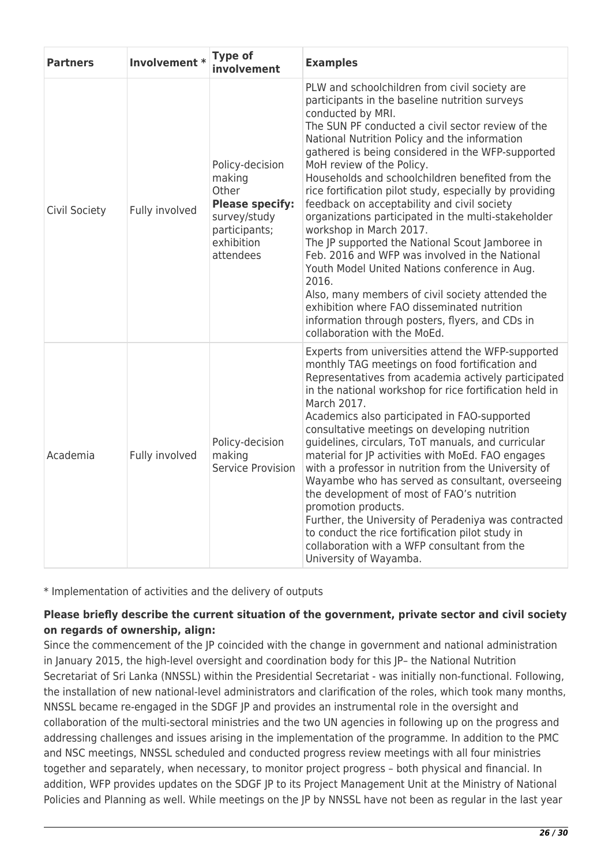| <b>Partners</b> | Involvement *  | <b>Type of</b><br>involvement                                                                                            | <b>Examples</b>                                                                                                                                                                                                                                                                                                                                                                                                                                                                                                                                                                                                                                                                                                                                                                                                                                                                                                   |
|-----------------|----------------|--------------------------------------------------------------------------------------------------------------------------|-------------------------------------------------------------------------------------------------------------------------------------------------------------------------------------------------------------------------------------------------------------------------------------------------------------------------------------------------------------------------------------------------------------------------------------------------------------------------------------------------------------------------------------------------------------------------------------------------------------------------------------------------------------------------------------------------------------------------------------------------------------------------------------------------------------------------------------------------------------------------------------------------------------------|
| Civil Society   | Fully involved | Policy-decision<br>making<br>Other<br><b>Please specify:</b><br>survey/study<br>participants;<br>exhibition<br>attendees | PLW and schoolchildren from civil society are<br>participants in the baseline nutrition surveys<br>conducted by MRI.<br>The SUN PF conducted a civil sector review of the<br>National Nutrition Policy and the information<br>gathered is being considered in the WFP-supported<br>MoH review of the Policy.<br>Households and schoolchildren benefited from the<br>rice fortification pilot study, especially by providing<br>feedback on acceptability and civil society<br>organizations participated in the multi-stakeholder<br>workshop in March 2017.<br>The JP supported the National Scout Jamboree in<br>Feb. 2016 and WFP was involved in the National<br>Youth Model United Nations conference in Aug.<br>2016.<br>Also, many members of civil society attended the<br>exhibition where FAO disseminated nutrition<br>information through posters, flyers, and CDs in<br>collaboration with the MoEd. |
| Academia        | Fully involved | Policy-decision<br>making<br>Service Provision                                                                           | Experts from universities attend the WFP-supported<br>monthly TAG meetings on food fortification and<br>Representatives from academia actively participated<br>in the national workshop for rice fortification held in<br>March 2017.<br>Academics also participated in FAO-supported<br>consultative meetings on developing nutrition<br>guidelines, circulars, ToT manuals, and curricular<br>material for JP activities with MoEd. FAO engages<br>with a professor in nutrition from the University of<br>Wayambe who has served as consultant, overseeing<br>the development of most of FAO's nutrition<br>promotion products.<br>Further, the University of Peradeniya was contracted<br>to conduct the rice fortification pilot study in<br>collaboration with a WFP consultant from the<br>University of Wayamba.                                                                                          |

\* Implementation of activities and the delivery of outputs

## **Please briefly describe the current situation of the government, private sector and civil society on regards of ownership, align:**

Since the commencement of the JP coincided with the change in government and national administration in January 2015, the high-level oversight and coordination body for this JP– the National Nutrition Secretariat of Sri Lanka (NNSSL) within the Presidential Secretariat - was initially non-functional. Following, the installation of new national-level administrators and clarification of the roles, which took many months, NNSSL became re-engaged in the SDGF JP and provides an instrumental role in the oversight and collaboration of the multi-sectoral ministries and the two UN agencies in following up on the progress and addressing challenges and issues arising in the implementation of the programme. In addition to the PMC and NSC meetings, NNSSL scheduled and conducted progress review meetings with all four ministries together and separately, when necessary, to monitor project progress – both physical and financial. In addition, WFP provides updates on the SDGF JP to its Project Management Unit at the Ministry of National Policies and Planning as well. While meetings on the JP by NNSSL have not been as regular in the last year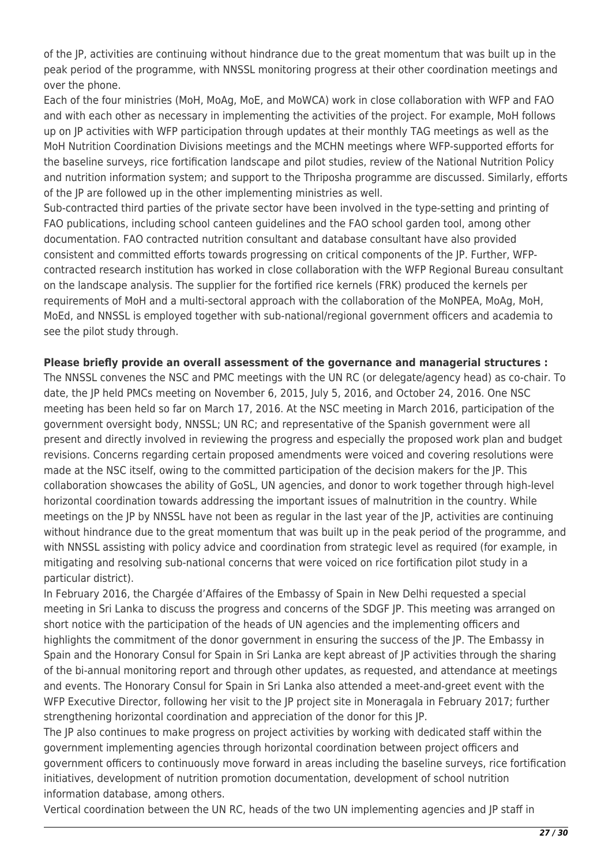of the JP, activities are continuing without hindrance due to the great momentum that was built up in the peak period of the programme, with NNSSL monitoring progress at their other coordination meetings and over the phone.

Each of the four ministries (MoH, MoAg, MoE, and MoWCA) work in close collaboration with WFP and FAO and with each other as necessary in implementing the activities of the project. For example, MoH follows up on JP activities with WFP participation through updates at their monthly TAG meetings as well as the MoH Nutrition Coordination Divisions meetings and the MCHN meetings where WFP-supported efforts for the baseline surveys, rice fortification landscape and pilot studies, review of the National Nutrition Policy and nutrition information system; and support to the Thriposha programme are discussed. Similarly, efforts of the JP are followed up in the other implementing ministries as well.

Sub-contracted third parties of the private sector have been involved in the type-setting and printing of FAO publications, including school canteen guidelines and the FAO school garden tool, among other documentation. FAO contracted nutrition consultant and database consultant have also provided consistent and committed efforts towards progressing on critical components of the JP. Further, WFPcontracted research institution has worked in close collaboration with the WFP Regional Bureau consultant on the landscape analysis. The supplier for the fortified rice kernels (FRK) produced the kernels per requirements of MoH and a multi-sectoral approach with the collaboration of the MoNPEA, MoAg, MoH, MoEd, and NNSSL is employed together with sub-national/regional government officers and academia to see the pilot study through.

## **Please briefly provide an overall assessment of the governance and managerial structures :**

The NNSSL convenes the NSC and PMC meetings with the UN RC (or delegate/agency head) as co-chair. To date, the JP held PMCs meeting on November 6, 2015, July 5, 2016, and October 24, 2016. One NSC meeting has been held so far on March 17, 2016. At the NSC meeting in March 2016, participation of the government oversight body, NNSSL; UN RC; and representative of the Spanish government were all present and directly involved in reviewing the progress and especially the proposed work plan and budget revisions. Concerns regarding certain proposed amendments were voiced and covering resolutions were made at the NSC itself, owing to the committed participation of the decision makers for the JP. This collaboration showcases the ability of GoSL, UN agencies, and donor to work together through high-level horizontal coordination towards addressing the important issues of malnutrition in the country. While meetings on the JP by NNSSL have not been as regular in the last year of the JP, activities are continuing without hindrance due to the great momentum that was built up in the peak period of the programme, and with NNSSL assisting with policy advice and coordination from strategic level as required (for example, in mitigating and resolving sub-national concerns that were voiced on rice fortification pilot study in a particular district).

In February 2016, the Chargée d'Affaires of the Embassy of Spain in New Delhi requested a special meeting in Sri Lanka to discuss the progress and concerns of the SDGF JP. This meeting was arranged on short notice with the participation of the heads of UN agencies and the implementing officers and highlights the commitment of the donor government in ensuring the success of the JP. The Embassy in Spain and the Honorary Consul for Spain in Sri Lanka are kept abreast of JP activities through the sharing of the bi-annual monitoring report and through other updates, as requested, and attendance at meetings and events. The Honorary Consul for Spain in Sri Lanka also attended a meet-and-greet event with the WFP Executive Director, following her visit to the JP project site in Moneragala in February 2017; further strengthening horizontal coordination and appreciation of the donor for this JP.

The JP also continues to make progress on project activities by working with dedicated staff within the government implementing agencies through horizontal coordination between project officers and government officers to continuously move forward in areas including the baseline surveys, rice fortification initiatives, development of nutrition promotion documentation, development of school nutrition information database, among others.

Vertical coordination between the UN RC, heads of the two UN implementing agencies and JP staff in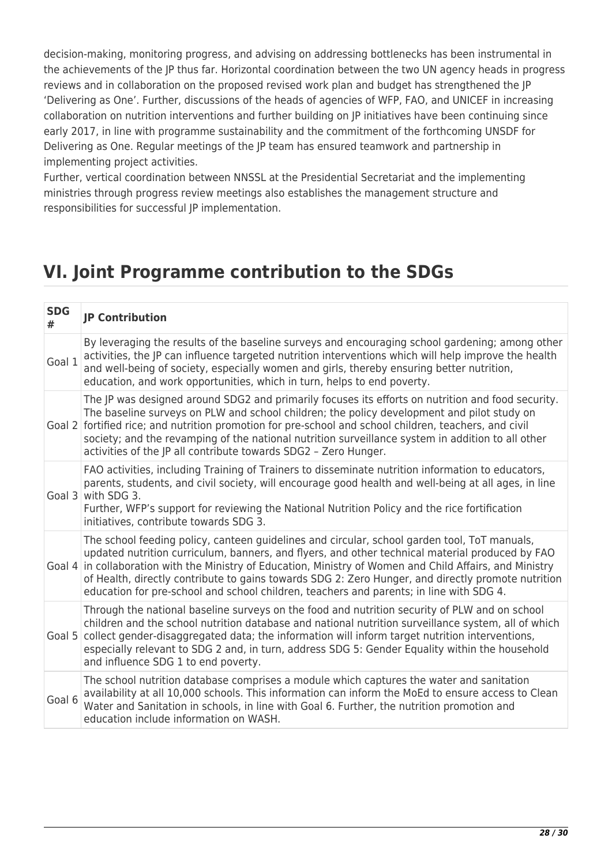decision-making, monitoring progress, and advising on addressing bottlenecks has been instrumental in the achievements of the JP thus far. Horizontal coordination between the two UN agency heads in progress reviews and in collaboration on the proposed revised work plan and budget has strengthened the JP 'Delivering as One'. Further, discussions of the heads of agencies of WFP, FAO, and UNICEF in increasing collaboration on nutrition interventions and further building on JP initiatives have been continuing since early 2017, in line with programme sustainability and the commitment of the forthcoming UNSDF for Delivering as One. Regular meetings of the JP team has ensured teamwork and partnership in implementing project activities.

Further, vertical coordination between NNSSL at the Presidential Secretariat and the implementing ministries through progress review meetings also establishes the management structure and responsibilities for successful JP implementation.

## **VI. Joint Programme contribution to the SDGs**

| <b>SDG</b><br># | <b>JP Contribution</b>                                                                                                                                                                                                                                                                                                                                                                                                                                                                                        |
|-----------------|---------------------------------------------------------------------------------------------------------------------------------------------------------------------------------------------------------------------------------------------------------------------------------------------------------------------------------------------------------------------------------------------------------------------------------------------------------------------------------------------------------------|
| Goal 1          | By leveraging the results of the baseline surveys and encouraging school gardening; among other<br>activities, the JP can influence targeted nutrition interventions which will help improve the health<br>and well-being of society, especially women and girls, thereby ensuring better nutrition,<br>education, and work opportunities, which in turn, helps to end poverty.                                                                                                                               |
|                 | The JP was designed around SDG2 and primarily focuses its efforts on nutrition and food security.<br>The baseline surveys on PLW and school children; the policy development and pilot study on<br>Goal 2 fortified rice; and nutrition promotion for pre-school and school children, teachers, and civil<br>society; and the revamping of the national nutrition surveillance system in addition to all other<br>activities of the JP all contribute towards SDG2 - Zero Hunger.                             |
|                 | FAO activities, including Training of Trainers to disseminate nutrition information to educators,<br>parents, students, and civil society, will encourage good health and well-being at all ages, in line<br>Goal 3 with SDG 3.<br>Further, WFP's support for reviewing the National Nutrition Policy and the rice fortification<br>initiatives, contribute towards SDG 3.                                                                                                                                    |
|                 | The school feeding policy, canteen guidelines and circular, school garden tool, ToT manuals,<br>updated nutrition curriculum, banners, and flyers, and other technical material produced by FAO<br>Goal 4 in collaboration with the Ministry of Education, Ministry of Women and Child Affairs, and Ministry<br>of Health, directly contribute to gains towards SDG 2: Zero Hunger, and directly promote nutrition<br>education for pre-school and school children, teachers and parents; in line with SDG 4. |
| Goal 5          | Through the national baseline surveys on the food and nutrition security of PLW and on school<br>children and the school nutrition database and national nutrition surveillance system, all of which<br>collect gender-disaggregated data; the information will inform target nutrition interventions,<br>especially relevant to SDG 2 and, in turn, address SDG 5: Gender Equality within the household<br>and influence SDG 1 to end poverty.                                                               |
| Goal 6          | The school nutrition database comprises a module which captures the water and sanitation<br>availability at all 10,000 schools. This information can inform the MoEd to ensure access to Clean<br>Water and Sanitation in schools, in line with Goal 6. Further, the nutrition promotion and<br>education include information on WASH.                                                                                                                                                                        |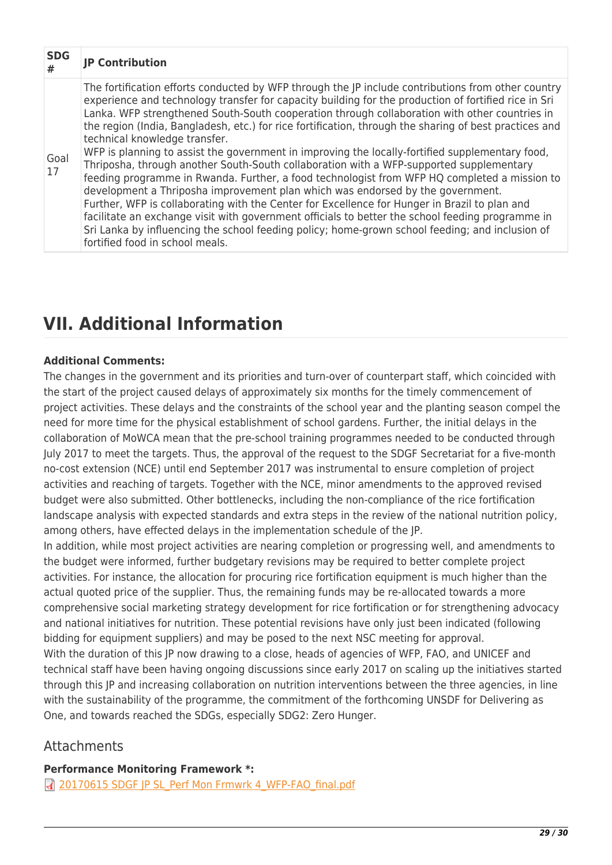| <b>SDG</b><br># | <b>JP Contribution</b>                                                                                                                                                                                                                                                                                                                                                                                                                                                                                                                                                                                                                                                                                                                                                                                                                                                                                                                                                                                                                                                                                                                                                            |
|-----------------|-----------------------------------------------------------------------------------------------------------------------------------------------------------------------------------------------------------------------------------------------------------------------------------------------------------------------------------------------------------------------------------------------------------------------------------------------------------------------------------------------------------------------------------------------------------------------------------------------------------------------------------------------------------------------------------------------------------------------------------------------------------------------------------------------------------------------------------------------------------------------------------------------------------------------------------------------------------------------------------------------------------------------------------------------------------------------------------------------------------------------------------------------------------------------------------|
| Goal<br>17      | The fortification efforts conducted by WFP through the JP include contributions from other country<br>experience and technology transfer for capacity building for the production of fortified rice in Sri<br>Lanka. WFP strengthened South-South cooperation through collaboration with other countries in<br>the region (India, Bangladesh, etc.) for rice fortification, through the sharing of best practices and<br>technical knowledge transfer.<br>WFP is planning to assist the government in improving the locally-fortified supplementary food,<br>Thriposha, through another South-South collaboration with a WFP-supported supplementary<br>feeding programme in Rwanda. Further, a food technologist from WFP HQ completed a mission to<br>development a Thriposha improvement plan which was endorsed by the government.<br>Further, WFP is collaborating with the Center for Excellence for Hunger in Brazil to plan and<br>facilitate an exchange visit with government officials to better the school feeding programme in<br>Sri Lanka by influencing the school feeding policy; home-grown school feeding; and inclusion of<br>fortified food in school meals. |

# **VII. Additional Information**

## **Additional Comments:**

The changes in the government and its priorities and turn-over of counterpart staff, which coincided with the start of the project caused delays of approximately six months for the timely commencement of project activities. These delays and the constraints of the school year and the planting season compel the need for more time for the physical establishment of school gardens. Further, the initial delays in the collaboration of MoWCA mean that the pre-school training programmes needed to be conducted through July 2017 to meet the targets. Thus, the approval of the request to the SDGF Secretariat for a five-month no-cost extension (NCE) until end September 2017 was instrumental to ensure completion of project activities and reaching of targets. Together with the NCE, minor amendments to the approved revised budget were also submitted. Other bottlenecks, including the non-compliance of the rice fortification landscape analysis with expected standards and extra steps in the review of the national nutrition policy, among others, have effected delays in the implementation schedule of the JP.

In addition, while most project activities are nearing completion or progressing well, and amendments to the budget were informed, further budgetary revisions may be required to better complete project activities. For instance, the allocation for procuring rice fortification equipment is much higher than the actual quoted price of the supplier. Thus, the remaining funds may be re-allocated towards a more comprehensive social marketing strategy development for rice fortification or for strengthening advocacy and national initiatives for nutrition. These potential revisions have only just been indicated (following bidding for equipment suppliers) and may be posed to the next NSC meeting for approval. With the duration of this JP now drawing to a close, heads of agencies of WFP, FAO, and UNICEF and technical staff have been having ongoing discussions since early 2017 on scaling up the initiatives started through this JP and increasing collaboration on nutrition interventions between the three agencies, in line with the sustainability of the programme, the commitment of the forthcoming UNSDF for Delivering as One, and towards reached the SDGs, especially SDG2: Zero Hunger.

## Attachments

**Performance Monitoring Framework \*:**  7 [20170615 SDGF JP SL\\_Perf Mon Frmwrk 4\\_WFP-FAO\\_final.pdf](http://proposals.sdgfund.org/sites/default/files/concept_note_form/20170615%20SDGF%20JP%20SL_Perf%20Mon%20Frmwrk%204_WFP-FAO_final.pdf)